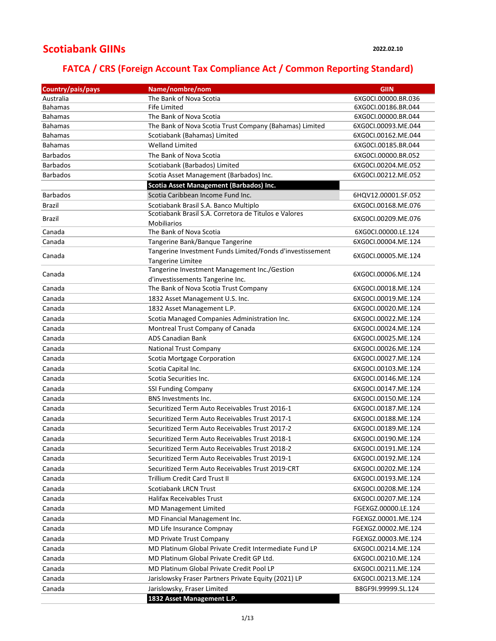## **Scotiabank GIINs**

## **FATCA / CRS (Foreign Account Tax Compliance Act / Common Reporting Standard)**

| Country/pais/pays | Name/nombre/nom                                           | <b>GIIN</b>         |
|-------------------|-----------------------------------------------------------|---------------------|
| Australia         | The Bank of Nova Scotia                                   | 6XG0CI.00000.BR.036 |
| <b>Bahamas</b>    | Fife Limited                                              | 6XG0Cl.00186.BR.044 |
| <b>Bahamas</b>    | The Bank of Nova Scotia                                   | 6XG0CI.00000.BR.044 |
| <b>Bahamas</b>    | The Bank of Nova Scotia Trust Company (Bahamas) Limited   | 6XG0CI.00093.ME.044 |
| <b>Bahamas</b>    | Scotiabank (Bahamas) Limited                              | 6XG0CI.00162.ME.044 |
| <b>Bahamas</b>    | <b>Welland Limited</b>                                    | 6XG0Cl.00185.BR.044 |
| <b>Barbados</b>   | The Bank of Nova Scotia                                   | 6XG0CI.00000.BR.052 |
| <b>Barbados</b>   | Scotiabank (Barbados) Limited                             | 6XG0CI.00204.ME.052 |
| <b>Barbados</b>   | Scotia Asset Management (Barbados) Inc.                   | 6XG0CI.00212.ME.052 |
|                   | <b>Scotia Asset Management (Barbados) Inc.</b>            |                     |
| <b>Barbados</b>   | Scotia Caribbean Income Fund Inc.                         | 6HQV12.00001.SF.052 |
| <b>Brazil</b>     | Scotiabank Brasil S.A. Banco Multiplo                     | 6XG0CI.00168.ME.076 |
| Brazil            | Scotiabank Brasil S.A. Corretora de Titulos e Valores     | 6XG0CI.00209.ME.076 |
|                   | <b>Mobiliarios</b>                                        |                     |
| Canada            | The Bank of Nova Scotia                                   | 6XG0CI.00000.LE.124 |
| Canada            | Tangerine Bank/Banque Tangerine                           | 6XG0CI.00004.ME.124 |
| Canada            | Tangerine Investment Funds Limited/Fonds d'investissement | 6XG0CI.00005.ME.124 |
|                   | Tangerine Limitee                                         |                     |
| Canada            | Tangerine Investment Management Inc./Gestion              | 6XG0CI.00006.ME.124 |
|                   | d'investissements Tangerine Inc.                          |                     |
| Canada            | The Bank of Nova Scotia Trust Company                     | 6XG0CI.00018.ME.124 |
| Canada            | 1832 Asset Management U.S. Inc.                           | 6XG0CI.00019.ME.124 |
| Canada            | 1832 Asset Management L.P.                                | 6XG0CI.00020.ME.124 |
| Canada            | Scotia Managed Companies Administration Inc.              | 6XG0CI.00022.ME.124 |
| Canada            | Montreal Trust Company of Canada                          | 6XG0CI.00024.ME.124 |
| Canada            | <b>ADS Canadian Bank</b>                                  | 6XG0CI.00025.ME.124 |
| Canada            | <b>National Trust Company</b>                             | 6XG0CI.00026.ME.124 |
| Canada            | Scotia Mortgage Corporation                               | 6XG0CI.00027.ME.124 |
| Canada            | Scotia Capital Inc.                                       | 6XG0CI.00103.ME.124 |
| Canada            | Scotia Securities Inc.                                    | 6XG0CI.00146.ME.124 |
| Canada            | <b>SSI Funding Company</b>                                | 6XG0CI.00147.ME.124 |
| Canada            | <b>BNS Investments Inc.</b>                               | 6XG0CI.00150.ME.124 |
| Canada            | Securitized Term Auto Receivables Trust 2016-1            | 6XG0CI.00187.ME.124 |
| Canada            | Securitized Term Auto Receivables Trust 2017-1            | 6XG0CI.00188.ME.124 |
| Canada            | Securitized Term Auto Receivables Trust 2017-2            | 6XG0CI.00189.ME.124 |
| Canada            | Securitized Term Auto Receivables Trust 2018-1            | 6XG0CI.00190.ME.124 |
| Canada            | Securitized Term Auto Receivables Trust 2018-2            | 6XG0CI.00191.ME.124 |
| Canada            | Securitized Term Auto Receivables Trust 2019-1            | 6XG0CI.00192.ME.124 |
| Canada            | Securitized Term Auto Receivables Trust 2019-CRT          | 6XG0CI.00202.ME.124 |
| Canada            | Trillium Credit Card Trust II                             | 6XG0CI.00193.ME.124 |
| Canada            | <b>Scotiabank LRCN Trust</b>                              | 6XG0CI.00208.ME.124 |
| Canada            | Halifax Receivables Trust                                 | 6XG0CI.00207.ME.124 |
| Canada            | MD Management Limited                                     | FGEXGZ.00000.LE.124 |
| Canada            | MD Financial Management Inc.                              | FGEXGZ.00001.ME.124 |
| Canada            | MD Life Insurance Compnay                                 | FGEXGZ.00002.ME.124 |
| Canada            | MD Private Trust Company                                  | FGEXGZ.00003.ME.124 |
| Canada            | MD Platinum Global Private Credit Intermediate Fund LP    | 6XG0CI.00214.ME.124 |
| Canada            | MD Platinum Global Private Credit GP Ltd.                 | 6XG0CI.00210.ME.124 |
| Canada            | MD Platinum Global Private Credit Pool LP                 | 6XG0CI.00211.ME.124 |
| Canada            | Jarislowsky Fraser Partners Private Equity (2021) LP      | 6XG0CI.00213.ME.124 |
| Canada            | Jarislowsky, Fraser Limited                               | B8GF9I.99999.SL.124 |
|                   | 1832 Asset Management L.P.                                |                     |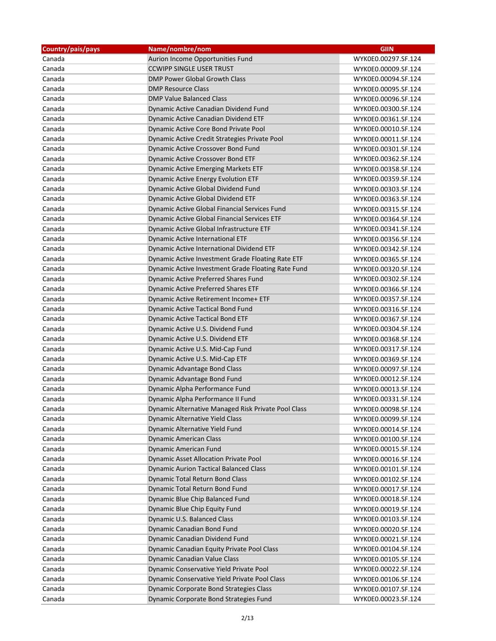| Country/pais/pays | Name/nombre/nom                                     | <b>GIIN</b>         |
|-------------------|-----------------------------------------------------|---------------------|
| Canada            | Aurion Income Opportunities Fund                    | WYK0E0.00297.SF.124 |
| Canada            | <b>CCWIPP SINGLE USER TRUST</b>                     | WYK0E0.00009.SF.124 |
| Canada            | DMP Power Global Growth Class                       | WYK0E0.00094.SF.124 |
| Canada            | <b>DMP Resource Class</b>                           | WYK0E0.00095.SF.124 |
| Canada            | <b>DMP Value Balanced Class</b>                     | WYK0E0.00096.SF.124 |
| Canada            | Dynamic Active Canadian Dividend Fund               | WYK0E0.00300.SF.124 |
| Canada            | Dynamic Active Canadian Dividend ETF                | WYK0E0.00361.SF.124 |
| Canada            | Dynamic Active Core Bond Private Pool               | WYK0E0.00010.SF.124 |
| Canada            | Dynamic Active Credit Strategies Private Pool       | WYK0E0.00011.SF.124 |
| Canada            | Dynamic Active Crossover Bond Fund                  | WYK0E0.00301.SF.124 |
| Canada            | Dynamic Active Crossover Bond ETF                   | WYK0E0.00362.SF.124 |
| Canada            | Dynamic Active Emerging Markets ETF                 | WYK0E0.00358.SF.124 |
| Canada            | Dynamic Active Energy Evolution ETF                 | WYK0E0.00359.SF.124 |
| Canada            | Dynamic Active Global Dividend Fund                 | WYK0E0.00303.SF.124 |
| Canada            | Dynamic Active Global Dividend ETF                  | WYK0E0.00363.SF.124 |
| Canada            | Dynamic Active Global Financial Services Fund       | WYK0E0.00315.SF.124 |
| Canada            | Dynamic Active Global Financial Services ETF        | WYK0E0.00364.SF.124 |
| Canada            | Dynamic Active Global Infrastructure ETF            | WYK0E0.00341.SF.124 |
| Canada            | Dynamic Active International ETF                    | WYK0E0.00356.SF.124 |
| Canada            | Dynamic Active International Dividend ETF           | WYK0E0.00342.SF.124 |
| Canada            | Dynamic Active Investment Grade Floating Rate ETF   | WYK0E0.00365.SF.124 |
| Canada            | Dynamic Active Investment Grade Floating Rate Fund  | WYK0E0.00320.SF.124 |
| Canada            | Dynamic Active Preferred Shares Fund                | WYK0E0.00302.SF.124 |
| Canada            | Dynamic Active Preferred Shares ETF                 | WYK0E0.00366.SF.124 |
| Canada            | Dynamic Active Retirement Income+ ETF               | WYK0E0.00357.SF.124 |
| Canada            | Dynamic Active Tactical Bond Fund                   | WYK0E0.00316.SF.124 |
| Canada            | <b>Dynamic Active Tactical Bond ETF</b>             | WYK0E0.00367.SF.124 |
| Canada            | Dynamic Active U.S. Dividend Fund                   | WYK0E0.00304.SF.124 |
| Canada            | Dynamic Active U.S. Dividend ETF                    | WYK0E0.00368.SF.124 |
| Canada            | Dynamic Active U.S. Mid-Cap Fund                    | WYK0E0.00317.SF.124 |
| Canada            | Dynamic Active U.S. Mid-Cap ETF                     | WYK0E0.00369.SF.124 |
| Canada            | <b>Dynamic Advantage Bond Class</b>                 | WYK0E0.00097.SF.124 |
| Canada            | Dynamic Advantage Bond Fund                         | WYK0E0.00012.SF.124 |
| Canada            | Dynamic Alpha Performance Fund                      | WYK0E0.00013.SF.124 |
| Canada            | Dynamic Alpha Performance II Fund                   | WYK0E0.00331.SF.124 |
| Canada            | Dynamic Alternative Managed Risk Private Pool Class | WYK0E0.00098.SF.124 |
| Canada            | Dynamic Alternative Yield Class                     | WYK0E0.00099.SF.124 |
| Canada            | Dynamic Alternative Yield Fund                      | WYK0E0.00014.SF.124 |
| Canada            | <b>Dynamic American Class</b>                       | WYK0E0.00100.SF.124 |
| Canada            | Dynamic American Fund                               | WYK0E0.00015.SF.124 |
| Canada            | Dynamic Asset Allocation Private Pool               | WYK0E0.00016.SF.124 |
| Canada            | <b>Dynamic Aurion Tactical Balanced Class</b>       | WYK0E0.00101.SF.124 |
| Canada            | Dynamic Total Return Bond Class                     | WYK0E0.00102.SF.124 |
| Canada            | Dynamic Total Return Bond Fund                      | WYK0E0.00017.SF.124 |
| Canada            | Dynamic Blue Chip Balanced Fund                     | WYK0E0.00018.SF.124 |
| Canada            | Dynamic Blue Chip Equity Fund                       | WYK0E0.00019.SF.124 |
| Canada            | Dynamic U.S. Balanced Class                         | WYK0E0.00103.SF.124 |
| Canada            | Dynamic Canadian Bond Fund                          | WYK0E0.00020.SF.124 |
| Canada            | Dynamic Canadian Dividend Fund                      | WYK0E0.00021.SF.124 |
| Canada            | Dynamic Canadian Equity Private Pool Class          | WYK0E0.00104.SF.124 |
| Canada            | Dynamic Canadian Value Class                        | WYK0E0.00105.SF.124 |
| Canada            | Dynamic Conservative Yield Private Pool             | WYK0E0.00022.SF.124 |
| Canada            | Dynamic Conservative Yield Private Pool Class       | WYK0E0.00106.SF.124 |
| Canada            | Dynamic Corporate Bond Strategies Class             | WYK0E0.00107.SF.124 |
| Canada            | Dynamic Corporate Bond Strategies Fund              | WYK0E0.00023.SF.124 |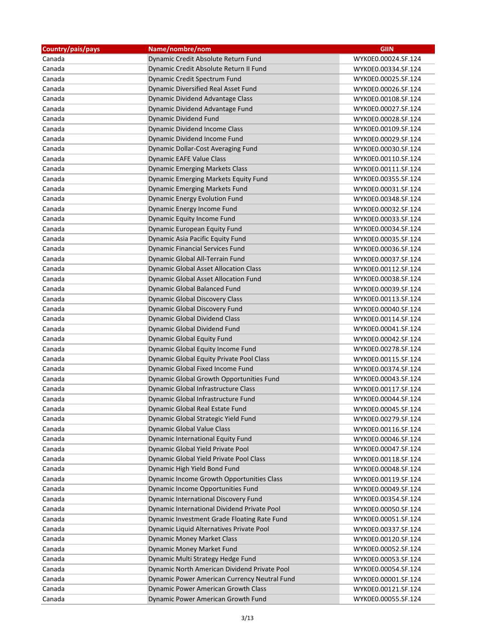| Country/pais/pays | Name/nombre/nom                              | <b>GIIN</b>         |
|-------------------|----------------------------------------------|---------------------|
| Canada            | Dynamic Credit Absolute Return Fund          | WYK0E0.00024.SF.124 |
| Canada            | Dynamic Credit Absolute Return II Fund       | WYK0E0.00334.SF.124 |
| Canada            | Dynamic Credit Spectrum Fund                 | WYK0E0.00025.SF.124 |
| Canada            | Dynamic Diversified Real Asset Fund          | WYK0E0.00026.SF.124 |
| Canada            | Dynamic Dividend Advantage Class             | WYK0E0.00108.SF.124 |
| Canada            | Dynamic Dividend Advantage Fund              | WYK0E0.00027.SF.124 |
| Canada            | <b>Dynamic Dividend Fund</b>                 | WYK0E0.00028.SF.124 |
| Canada            | Dynamic Dividend Income Class                | WYK0E0.00109.SF.124 |
| Canada            | Dynamic Dividend Income Fund                 | WYK0E0.00029.SF.124 |
| Canada            | Dynamic Dollar-Cost Averaging Fund           | WYK0E0.00030.SF.124 |
| Canada            | Dynamic EAFE Value Class                     | WYK0E0.00110.SF.124 |
| Canada            | <b>Dynamic Emerging Markets Class</b>        | WYK0E0.00111.SF.124 |
| Canada            | Dynamic Emerging Markets Equity Fund         | WYK0E0.00355.SF.124 |
| Canada            | <b>Dynamic Emerging Markets Fund</b>         | WYK0E0.00031.SF.124 |
| Canada            | <b>Dynamic Energy Evolution Fund</b>         | WYK0E0.00348.SF.124 |
| Canada            | Dynamic Energy Income Fund                   | WYK0E0.00032.SF.124 |
| Canada            | Dynamic Equity Income Fund                   | WYK0E0.00033.SF.124 |
| Canada            | Dynamic European Equity Fund                 | WYK0E0.00034.SF.124 |
| Canada            | Dynamic Asia Pacific Equity Fund             | WYK0E0.00035.SF.124 |
| Canada            | <b>Dynamic Financial Services Fund</b>       | WYK0E0.00036.SF.124 |
| Canada            | Dynamic Global All-Terrain Fund              | WYK0E0.00037.SF.124 |
| Canada            | <b>Dynamic Global Asset Allocation Class</b> | WYK0E0.00112.SF.124 |
| Canada            | Dynamic Global Asset Allocation Fund         | WYK0E0.00038.SF.124 |
| Canada            | <b>Dynamic Global Balanced Fund</b>          | WYK0E0.00039.SF.124 |
| Canada            | <b>Dynamic Global Discovery Class</b>        | WYK0E0.00113.SF.124 |
| Canada            | Dynamic Global Discovery Fund                | WYK0E0.00040.SF.124 |
| Canada            | <b>Dynamic Global Dividend Class</b>         | WYK0E0.00114.SF.124 |
| Canada            | Dynamic Global Dividend Fund                 | WYK0E0.00041.SF.124 |
| Canada            | <b>Dynamic Global Equity Fund</b>            | WYK0E0.00042.SF.124 |
| Canada            | Dynamic Global Equity Income Fund            | WYK0E0.00278.SF.124 |
| Canada            | Dynamic Global Equity Private Pool Class     | WYK0E0.00115.SF.124 |
| Canada            | Dynamic Global Fixed Income Fund             | WYK0E0.00374.SF.124 |
| Canada            | Dynamic Global Growth Opportunities Fund     | WYK0E0.00043.SF.124 |
| Canada            | Dynamic Global Infrastructure Class          | WYK0E0.00117.SF.124 |
| Canada            | Dynamic Global Infrastructure Fund           | WYK0E0.00044.SF.124 |
| Canada            | Dynamic Global Real Estate Fund              | WYK0E0.00045.SF.124 |
| Canada            | Dynamic Global Strategic Yield Fund          | WYK0E0.00279.SF.124 |
| Canada            | <b>Dynamic Global Value Class</b>            | WYK0E0.00116.SF.124 |
| Canada            | Dynamic International Equity Fund            | WYK0E0.00046.SF.124 |
| Canada            | Dynamic Global Yield Private Pool            | WYK0E0.00047.SF.124 |
| Canada            | Dynamic Global Yield Private Pool Class      | WYK0E0.00118.SF.124 |
| Canada            | Dynamic High Yield Bond Fund                 | WYK0E0.00048.SF.124 |
| Canada            | Dynamic Income Growth Opportunities Class    | WYK0E0.00119.SF.124 |
| Canada            | Dynamic Income Opportunities Fund            | WYK0E0.00049.SF.124 |
| Canada            | Dynamic International Discovery Fund         | WYK0E0.00354.SF.124 |
| Canada            | Dynamic International Dividend Private Pool  | WYK0E0.00050.SF.124 |
| Canada            | Dynamic Investment Grade Floating Rate Fund  | WYK0E0.00051.SF.124 |
| Canada            | Dynamic Liquid Alternatives Private Pool     | WYK0E0.00337.SF.124 |
|                   |                                              |                     |
| Canada            | <b>Dynamic Money Market Class</b>            | WYK0E0.00120.SF.124 |
| Canada            | Dynamic Money Market Fund                    | WYK0E0.00052.SF.124 |
| Canada            | Dynamic Multi Strategy Hedge Fund            | WYK0E0.00053.SF.124 |
| Canada            | Dynamic North American Dividend Private Pool | WYK0E0.00054.SF.124 |
| Canada            | Dynamic Power American Currency Neutral Fund | WYK0E0.00001.SF.124 |
| Canada            | Dynamic Power American Growth Class          | WYK0E0.00121.SF.124 |
| Canada            | Dynamic Power American Growth Fund           | WYK0E0.00055.SF.124 |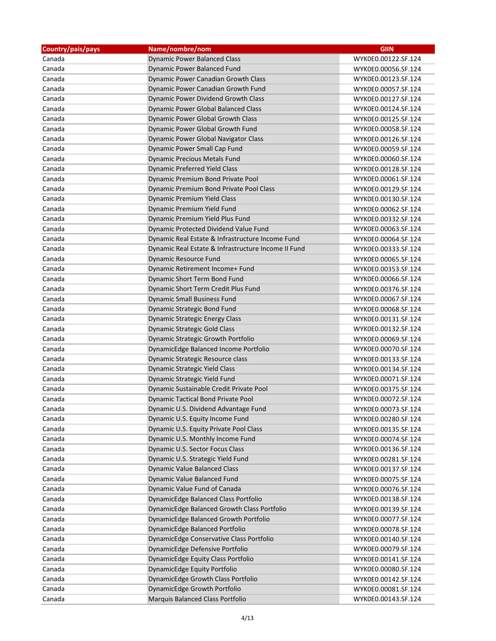| Country/pais/pays | Name/nombre/nom                                     | <b>GIIN</b>                                |
|-------------------|-----------------------------------------------------|--------------------------------------------|
| Canada            | <b>Dynamic Power Balanced Class</b>                 | WYK0E0.00122.SF.124                        |
| Canada            | <b>Dynamic Power Balanced Fund</b>                  | WYK0E0.00056.SF.124                        |
| Canada            | Dynamic Power Canadian Growth Class                 | WYK0E0.00123.SF.124                        |
| Canada            | Dynamic Power Canadian Growth Fund                  | WYK0E0.00057.SF.124                        |
| Canada            | Dynamic Power Dividend Growth Class                 | WYK0E0.00127.SF.124                        |
| Canada            | Dynamic Power Global Balanced Class                 | WYK0E0.00124.SF.124                        |
| Canada            | Dynamic Power Global Growth Class                   | WYK0E0.00125.SF.124                        |
| Canada            | Dynamic Power Global Growth Fund                    | WYK0E0.00058.SF.124                        |
| Canada            | Dynamic Power Global Navigator Class                | WYK0E0.00126.SF.124                        |
| Canada            | <b>Dynamic Power Small Cap Fund</b>                 | WYK0E0.00059.SF.124                        |
| Canada            | <b>Dynamic Precious Metals Fund</b>                 | WYK0E0.00060.SF.124                        |
| Canada            | <b>Dynamic Preferred Yield Class</b>                | WYK0E0.00128.SF.124                        |
| Canada            | Dynamic Premium Bond Private Pool                   | WYK0E0.00061.SF.124                        |
| Canada            | Dynamic Premium Bond Private Pool Class             | WYK0E0.00129.SF.124                        |
| Canada            | Dynamic Premium Yield Class                         | WYK0E0.00130.SF.124                        |
| Canada            | Dynamic Premium Yield Fund                          | WYK0E0.00062.SF.124                        |
| Canada            | Dynamic Premium Yield Plus Fund                     | WYK0E0.00332.SF.124                        |
| Canada            | Dynamic Protected Dividend Value Fund               | WYK0E0.00063.SF.124                        |
| Canada            | Dynamic Real Estate & Infrastructure Income Fund    | WYK0E0.00064.SF.124                        |
| Canada            | Dynamic Real Estate & Infrastructure Income II Fund | WYK0E0.00333.SF.124                        |
| Canada            | Dynamic Resource Fund                               | WYK0E0.00065.SF.124                        |
| Canada            | Dynamic Retirement Income+ Fund                     | WYK0E0.00353.SF.124                        |
| Canada            | Dynamic Short Term Bond Fund                        | WYK0E0.00066.SF.124                        |
| Canada            | Dynamic Short Term Credit Plus Fund                 | WYK0E0.00376.SF.124                        |
| Canada            | <b>Dynamic Small Business Fund</b>                  | WYK0E0.00067.SF.124                        |
| Canada            | <b>Dynamic Strategic Bond Fund</b>                  | WYK0E0.00068.SF.124                        |
| Canada            | <b>Dynamic Strategic Energy Class</b>               | WYK0E0.00131.SF.124                        |
| Canada            | <b>Dynamic Strategic Gold Class</b>                 | WYK0E0.00132.SF.124                        |
| Canada            | Dynamic Strategic Growth Portfolio                  | WYK0E0.00069.SF.124                        |
| Canada            | DynamicEdge Balanced Income Portfolio               | WYK0E0.00070.SF.124                        |
| Canada            | Dynamic Strategic Resource class                    | WYK0E0.00133.SF.124                        |
| Canada            | Dynamic Strategic Yield Class                       | WYK0E0.00134.SF.124                        |
| Canada            | Dynamic Strategic Yield Fund                        | WYK0E0.00071.SF.124                        |
| Canada            | Dynamic Sustainable Credit Private Pool             | WYK0E0.00375.SF.124                        |
| Canada            | Dynamic Tactical Bond Private Pool                  | WYK0E0.00072.SF.124                        |
| Canada            | Dynamic U.S. Dividend Advantage Fund                | WYK0E0.00073.SF.124                        |
| Canada            | Dynamic U.S. Equity Income Fund                     | WYK0E0.00280.SF.124                        |
| Canada            | Dynamic U.S. Equity Private Pool Class              | WYK0E0.00135.SF.124                        |
| Canada            | Dynamic U.S. Monthly Income Fund                    | WYK0E0.00074.SF.124                        |
| Canada            | Dynamic U.S. Sector Focus Class                     | WYK0E0.00136.SF.124                        |
| Canada            | Dynamic U.S. Strategic Yield Fund                   | WYK0E0.00281.SF.124                        |
| Canada            | <b>Dynamic Value Balanced Class</b>                 | WYK0E0.00137.SF.124                        |
| Canada            | Dynamic Value Balanced Fund                         | WYK0E0.00075.SF.124                        |
| Canada            | Dynamic Value Fund of Canada                        | WYK0E0.00076.SF.124                        |
| Canada            | DynamicEdge Balanced Class Portfolio                | WYK0E0.00138.SF.124                        |
| Canada            | DynamicEdge Balanced Growth Class Portfolio         |                                            |
| Canada            | DynamicEdge Balanced Growth Portfolio               | WYK0E0.00139.SF.124                        |
| Canada            | DynamicEdge Balanced Portfolio                      | WYK0E0.00077.SF.124<br>WYK0E0.00078.SF.124 |
|                   |                                                     |                                            |
| Canada            | DynamicEdge Conservative Class Portfolio            | WYK0E0.00140.SF.124                        |
| Canada            | DynamicEdge Defensive Portfolio                     | WYK0E0.00079.SF.124                        |
| Canada            | DynamicEdge Equity Class Portfolio                  | WYK0E0.00141.SF.124                        |
| Canada            | DynamicEdge Equity Portfolio                        | WYK0E0.00080.SF.124                        |
| Canada            | DynamicEdge Growth Class Portfolio                  | WYK0E0.00142.SF.124                        |
| Canada            | DynamicEdge Growth Portfolio                        | WYK0E0.00081.SF.124                        |
| Canada            | Marquis Balanced Class Portfolio                    | WYK0E0.00143.SF.124                        |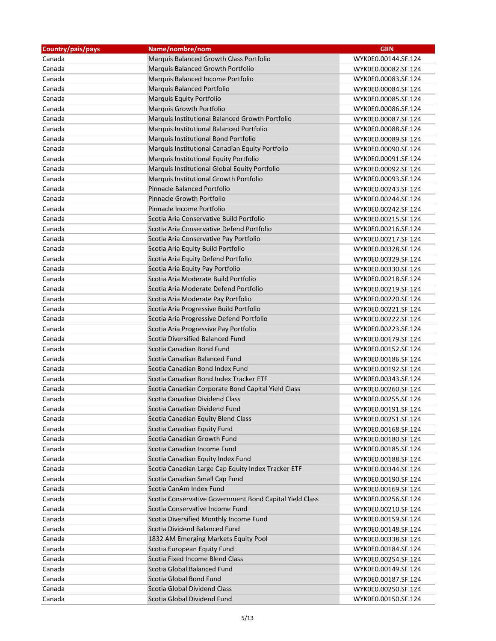| Country/pais/pays | Name/nombre/nom                                         | <b>GIIN</b>         |
|-------------------|---------------------------------------------------------|---------------------|
| Canada            | Marquis Balanced Growth Class Portfolio                 | WYK0E0.00144.SF.124 |
| Canada            | Marquis Balanced Growth Portfolio                       | WYK0E0.00082.SF.124 |
| Canada            | Marquis Balanced Income Portfolio                       | WYK0E0.00083.SF.124 |
| Canada            | Marquis Balanced Portfolio                              | WYK0E0.00084.SF.124 |
| Canada            | Marquis Equity Portfolio                                | WYK0E0.00085.SF.124 |
| Canada            | Marquis Growth Portfolio                                | WYK0E0.00086.SF.124 |
| Canada            | Marquis Institutional Balanced Growth Portfolio         | WYK0E0.00087.SF.124 |
| Canada            | Marquis Institutional Balanced Portfolio                | WYK0E0.00088.SF.124 |
| Canada            | Marquis Institutional Bond Portfolio                    | WYK0E0.00089.SF.124 |
| Canada            | Marquis Institutional Canadian Equity Portfolio         | WYK0E0.00090.SF.124 |
| Canada            | Marquis Institutional Equity Portfolio                  | WYK0E0.00091.SF.124 |
| Canada            | Marquis Institutional Global Equity Portfolio           | WYK0E0.00092.SF.124 |
| Canada            | Marquis Institutional Growth Portfolio                  | WYK0E0.00093.SF.124 |
| Canada            | Pinnacle Balanced Portfolio                             | WYK0E0.00243.SF.124 |
| Canada            | Pinnacle Growth Portfolio                               | WYK0E0.00244.SF.124 |
| Canada            | Pinnacle Income Portfolio                               | WYK0E0.00242.SF.124 |
| Canada            | Scotia Aria Conservative Build Portfolio                | WYK0E0.00215.SF.124 |
| Canada            | Scotia Aria Conservative Defend Portfolio               | WYK0E0.00216.SF.124 |
| Canada            | Scotia Aria Conservative Pay Portfolio                  | WYK0E0.00217.SF.124 |
| Canada            | Scotia Aria Equity Build Portfolio                      | WYK0E0.00328.SF.124 |
| Canada            | Scotia Aria Equity Defend Portfolio                     | WYK0E0.00329.SF.124 |
| Canada            | Scotia Aria Equity Pay Portfolio                        | WYK0E0.00330.SF.124 |
| Canada            | Scotia Aria Moderate Build Portfolio                    | WYK0E0.00218.SF.124 |
| Canada            | Scotia Aria Moderate Defend Portfolio                   | WYK0E0.00219.SF.124 |
| Canada            | Scotia Aria Moderate Pay Portfolio                      | WYK0E0.00220.SF.124 |
| Canada            | Scotia Aria Progressive Build Portfolio                 | WYK0E0.00221.SF.124 |
| Canada            | Scotia Aria Progressive Defend Portfolio                | WYK0E0.00222.SF.124 |
| Canada            | Scotia Aria Progressive Pay Portfolio                   | WYK0E0.00223.SF.124 |
| Canada            | Scotia Diversified Balanced Fund                        | WYK0E0.00179.SF.124 |
| Canada            | Scotia Canadian Bond Fund                               | WYK0E0.00152.SF.124 |
| Canada            | Scotia Canadian Balanced Fund                           | WYK0E0.00186.SF.124 |
| Canada            | Scotia Canadian Bond Index Fund                         | WYK0E0.00192.SF.124 |
| Canada            | Scotia Canadian Bond Index Tracker ETF                  | WYK0E0.00343.SF.124 |
| Canada            | Scotia Canadian Corporate Bond Capital Yield Class      | WYK0E0.00260.SF.124 |
| Canada            | Scotia Canadian Dividend Class                          | WYK0E0.00255.SF.124 |
| Canada            | Scotia Canadian Dividend Fund                           | WYK0E0.00191.SF.124 |
| Canada            | Scotia Canadian Equity Blend Class                      | WYK0E0.00251.SF.124 |
| Canada            | Scotia Canadian Equity Fund                             | WYK0E0.00168.SF.124 |
| Canada            | Scotia Canadian Growth Fund                             | WYK0E0.00180.SF.124 |
| Canada            | Scotia Canadian Income Fund                             | WYK0E0.00185.SF.124 |
| Canada            | Scotia Canadian Equity Index Fund                       | WYK0E0.00188.SF.124 |
| Canada            | Scotia Canadian Large Cap Equity Index Tracker ETF      | WYK0E0.00344.SF.124 |
| Canada            | Scotia Canadian Small Cap Fund                          | WYK0E0.00190.SF.124 |
| Canada            | Scotia CanAm Index Fund                                 | WYK0E0.00169.SF.124 |
| Canada            | Scotia Conservative Government Bond Capital Yield Class | WYK0E0.00256.SF.124 |
| Canada            | Scotia Conservative Income Fund                         | WYK0E0.00210.SF.124 |
| Canada            | Scotia Diversified Monthly Income Fund                  | WYK0E0.00159.SF.124 |
| Canada            | Scotia Dividend Balanced Fund                           | WYK0E0.00148.SF.124 |
| Canada            | 1832 AM Emerging Markets Equity Pool                    | WYK0E0.00338.SF.124 |
| Canada            | Scotia European Equity Fund                             | WYK0E0.00184.SF.124 |
| Canada            | Scotia Fixed Income Blend Class                         |                     |
|                   |                                                         | WYK0E0.00254.SF.124 |
| Canada<br>Canada  | Scotia Global Balanced Fund<br>Scotia Global Bond Fund  | WYK0E0.00149.SF.124 |
| Canada            | <b>Scotia Global Dividend Class</b>                     | WYK0E0.00187.SF.124 |
|                   |                                                         | WYK0E0.00250.SF.124 |
| Canada            | Scotia Global Dividend Fund                             | WYK0E0.00150.SF.124 |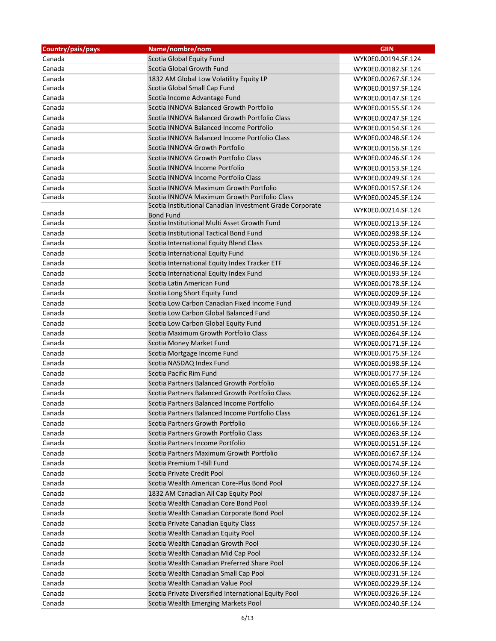| Country/pais/pays | Name/nombre/nom                                          | <b>GIIN</b>         |
|-------------------|----------------------------------------------------------|---------------------|
| Canada            | Scotia Global Equity Fund                                | WYK0E0.00194.SF.124 |
| Canada            | Scotia Global Growth Fund                                | WYK0E0.00182.SF.124 |
| Canada            | 1832 AM Global Low Volatility Equity LP                  | WYK0E0.00267.SF.124 |
| Canada            | Scotia Global Small Cap Fund                             | WYK0E0.00197.SF.124 |
| Canada            | Scotia Income Advantage Fund                             | WYK0E0.00147.SF.124 |
| Canada            | Scotia INNOVA Balanced Growth Portfolio                  | WYK0E0.00155.SF.124 |
| Canada            | Scotia INNOVA Balanced Growth Portfolio Class            | WYK0E0.00247.SF.124 |
| Canada            | Scotia INNOVA Balanced Income Portfolio                  | WYK0E0.00154.SF.124 |
| Canada            | Scotia INNOVA Balanced Income Portfolio Class            | WYK0E0.00248.SF.124 |
| Canada            | Scotia INNOVA Growth Portfolio                           | WYK0E0.00156.SF.124 |
| Canada            | Scotia INNOVA Growth Portfolio Class                     | WYK0E0.00246.SF.124 |
| Canada            | Scotia INNOVA Income Portfolio                           | WYK0E0.00153.SF.124 |
| Canada            | Scotia INNOVA Income Portfolio Class                     | WYK0E0.00249.SF.124 |
| Canada            | Scotia INNOVA Maximum Growth Portfolio                   | WYK0E0.00157.SF.124 |
| Canada            | Scotia INNOVA Maximum Growth Portfolio Class             | WYK0E0.00245.SF.124 |
|                   | Scotia Institutional Canadian Investment Grade Corporate | WYK0E0.00214.SF.124 |
| Canada            | <b>Bond Fund</b>                                         |                     |
| Canada            | Scotia Institutional Multi Asset Growth Fund             | WYK0E0.00213.SF.124 |
| Canada            | Scotia Institutional Tactical Bond Fund                  | WYK0E0.00298.SF.124 |
| Canada            | Scotia International Equity Blend Class                  | WYK0E0.00253.SF.124 |
| Canada            | Scotia International Equity Fund                         | WYK0E0.00196.SF.124 |
| Canada            | Scotia International Equity Index Tracker ETF            | WYK0E0.00346.SF.124 |
| Canada            | Scotia International Equity Index Fund                   | WYK0E0.00193.SF.124 |
| Canada            | Scotia Latin American Fund                               | WYK0E0.00178.SF.124 |
| Canada            | Scotia Long Short Equity Fund                            | WYK0E0.00209.SF.124 |
| Canada            | Scotia Low Carbon Canadian Fixed Income Fund             | WYK0E0.00349.SF.124 |
| Canada            | Scotia Low Carbon Global Balanced Fund                   | WYK0E0.00350.SF.124 |
| Canada            | Scotia Low Carbon Global Equity Fund                     | WYK0E0.00351.SF.124 |
| Canada            | Scotia Maximum Growth Portfolio Class                    | WYK0E0.00264.SF.124 |
| Canada            | Scotia Money Market Fund                                 | WYK0E0.00171.SF.124 |
| Canada            | Scotia Mortgage Income Fund                              | WYK0E0.00175.SF.124 |
| Canada            | Scotia NASDAQ Index Fund                                 | WYK0E0.00198.SF.124 |
| Canada            | Scotia Pacific Rim Fund                                  | WYK0E0.00177.SF.124 |
| Canada            | Scotia Partners Balanced Growth Portfolio                | WYK0E0.00165.SF.124 |
| Canada            | Scotia Partners Balanced Growth Portfolio Class          | WYK0E0.00262.SF.124 |
| Canada            | Scotia Partners Balanced Income Portfolio                | WYK0E0.00164.SF.124 |
| Canada            | Scotia Partners Balanced Income Portfolio Class          | WYK0E0.00261.SF.124 |
| Canada            | Scotia Partners Growth Portfolio                         | WYK0E0.00166.SF.124 |
| Canada            | Scotia Partners Growth Portfolio Class                   | WYK0E0.00263.SF.124 |
| Canada            | Scotia Partners Income Portfolio                         | WYK0E0.00151.SF.124 |
| Canada            | Scotia Partners Maximum Growth Portfolio                 | WYK0E0.00167.SF.124 |
| Canada            | Scotia Premium T-Bill Fund                               | WYK0E0.00174.SF.124 |
| Canada            | Scotia Private Credit Pool                               | WYK0E0.00360.SF.124 |
| Canada            | Scotia Wealth American Core-Plus Bond Pool               | WYK0E0.00227.SF.124 |
| Canada            | 1832 AM Canadian All Cap Equity Pool                     | WYK0E0.00287.SF.124 |
| Canada            | Scotia Wealth Canadian Core Bond Pool                    | WYK0E0.00339.SF.124 |
| Canada            | Scotia Wealth Canadian Corporate Bond Pool               | WYK0E0.00202.SF.124 |
| Canada            | Scotia Private Canadian Equity Class                     | WYK0E0.00257.SF.124 |
| Canada            | Scotia Wealth Canadian Equity Pool                       | WYK0E0.00200.SF.124 |
| Canada            | Scotia Wealth Canadian Growth Pool                       | WYK0E0.00230.SF.124 |
| Canada            | Scotia Wealth Canadian Mid Cap Pool                      | WYK0E0.00232.SF.124 |
| Canada            | Scotia Wealth Canadian Preferred Share Pool              | WYK0E0.00206.SF.124 |
| Canada            | Scotia Wealth Canadian Small Cap Pool                    | WYK0E0.00231.SF.124 |
| Canada            | Scotia Wealth Canadian Value Pool                        | WYK0E0.00229.SF.124 |
| Canada            | Scotia Private Diversified International Equity Pool     | WYK0E0.00326.SF.124 |
| Canada            | Scotia Wealth Emerging Markets Pool                      | WYK0E0.00240.SF.124 |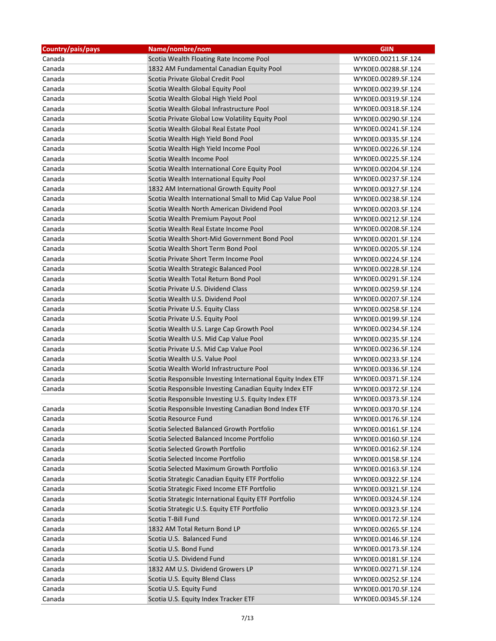| Country/pais/pays | Name/nombre/nom                                             | <b>GIIN</b>         |
|-------------------|-------------------------------------------------------------|---------------------|
| Canada            | Scotia Wealth Floating Rate Income Pool                     | WYK0E0.00211.SF.124 |
| Canada            | 1832 AM Fundamental Canadian Equity Pool                    | WYK0E0.00288.SF.124 |
| Canada            | Scotia Private Global Credit Pool                           | WYK0E0.00289.SF.124 |
| Canada            | Scotia Wealth Global Equity Pool                            | WYK0E0.00239.SF.124 |
| Canada            | Scotia Wealth Global High Yield Pool                        | WYK0E0.00319.SF.124 |
| Canada            | Scotia Wealth Global Infrastructure Pool                    | WYK0E0.00318.SF.124 |
| Canada            | Scotia Private Global Low Volatility Equity Pool            | WYK0E0.00290.SF.124 |
| Canada            | Scotia Wealth Global Real Estate Pool                       | WYK0E0.00241.SF.124 |
| Canada            | Scotia Wealth High Yield Bond Pool                          | WYK0E0.00335.SF.124 |
| Canada            | Scotia Wealth High Yield Income Pool                        | WYK0E0.00226.SF.124 |
| Canada            | Scotia Wealth Income Pool                                   | WYK0E0.00225.SF.124 |
| Canada            | Scotia Wealth International Core Equity Pool                | WYK0E0.00204.SF.124 |
| Canada            | Scotia Wealth International Equity Pool                     | WYK0E0.00237.SF.124 |
| Canada            | 1832 AM International Growth Equity Pool                    | WYK0E0.00327.SF.124 |
| Canada            | Scotia Wealth International Small to Mid Cap Value Pool     | WYK0E0.00238.SF.124 |
| Canada            | Scotia Wealth North American Dividend Pool                  | WYK0E0.00203.SF.124 |
| Canada            | Scotia Wealth Premium Payout Pool                           | WYK0E0.00212.SF.124 |
| Canada            | Scotia Wealth Real Estate Income Pool                       | WYK0E0.00208.SF.124 |
| Canada            | Scotia Wealth Short-Mid Government Bond Pool                | WYK0E0.00201.SF.124 |
| Canada            | Scotia Wealth Short Term Bond Pool                          | WYK0E0.00205.SF.124 |
| Canada            | Scotia Private Short Term Income Pool                       | WYK0E0.00224.SF.124 |
| Canada            | Scotia Wealth Strategic Balanced Pool                       | WYK0E0.00228.SF.124 |
| Canada            | Scotia Wealth Total Return Bond Pool                        | WYK0E0.00291.SF.124 |
| Canada            | Scotia Private U.S. Dividend Class                          | WYK0E0.00259.SF.124 |
| Canada            | Scotia Wealth U.S. Dividend Pool                            | WYK0E0.00207.SF.124 |
| Canada            | Scotia Private U.S. Equity Class                            | WYK0E0.00258.SF.124 |
| Canada            | Scotia Private U.S. Equity Pool                             | WYK0E0.00199.SF.124 |
| Canada            | Scotia Wealth U.S. Large Cap Growth Pool                    | WYK0E0.00234.SF.124 |
| Canada            | Scotia Wealth U.S. Mid Cap Value Pool                       | WYK0E0.00235.SF.124 |
| Canada            | Scotia Private U.S. Mid Cap Value Pool                      | WYK0E0.00236.SF.124 |
| Canada            | Scotia Wealth U.S. Value Pool                               | WYK0E0.00233.SF.124 |
| Canada            | Scotia Wealth World Infrastructure Pool                     | WYK0E0.00336.SF.124 |
| Canada            | Scotia Responsible Investing International Equity Index ETF | WYK0E0.00371.SF.124 |
| Canada            | Scotia Responsible Investing Canadian Equity Index ETF      | WYK0E0.00372.SF.124 |
|                   | Scotia Responsible Investing U.S. Equity Index ETF          | WYK0E0.00373.SF.124 |
| Canada            | Scotia Responsible Investing Canadian Bond Index ETF        | WYK0E0.00370.SF.124 |
| Canada            | Scotia Resource Fund                                        | WYK0E0.00176.SF.124 |
| Canada            | Scotia Selected Balanced Growth Portfolio                   | WYK0E0.00161.SF.124 |
| Canada            | Scotia Selected Balanced Income Portfolio                   | WYK0E0.00160.SF.124 |
| Canada            | Scotia Selected Growth Portfolio                            | WYK0E0.00162.SF.124 |
| Canada            | Scotia Selected Income Portfolio                            | WYK0E0.00158.SF.124 |
| Canada            | Scotia Selected Maximum Growth Portfolio                    | WYK0E0.00163.SF.124 |
| Canada            | Scotia Strategic Canadian Equity ETF Portfolio              | WYK0E0.00322.SF.124 |
| Canada            | Scotia Strategic Fixed Income ETF Portfolio                 | WYK0E0.00321.SF.124 |
| Canada            | Scotia Strategic International Equity ETF Portfolio         | WYK0E0.00324.SF.124 |
| Canada            | Scotia Strategic U.S. Equity ETF Portfolio                  | WYK0E0.00323.SF.124 |
| Canada            | Scotia T-Bill Fund                                          | WYK0E0.00172.SF.124 |
| Canada            | 1832 AM Total Return Bond LP                                | WYK0E0.00265.SF.124 |
| Canada            | Scotia U.S. Balanced Fund                                   | WYK0E0.00146.SF.124 |
| Canada            | Scotia U.S. Bond Fund                                       | WYK0E0.00173.SF.124 |
| Canada            | Scotia U.S. Dividend Fund                                   | WYK0E0.00181.SF.124 |
| Canada            | 1832 AM U.S. Dividend Growers LP                            | WYK0E0.00271.SF.124 |
| Canada            | Scotia U.S. Equity Blend Class                              | WYK0E0.00252.SF.124 |
| Canada            | Scotia U.S. Equity Fund                                     | WYK0E0.00170.SF.124 |
| Canada            | Scotia U.S. Equity Index Tracker ETF                        | WYK0E0.00345.SF.124 |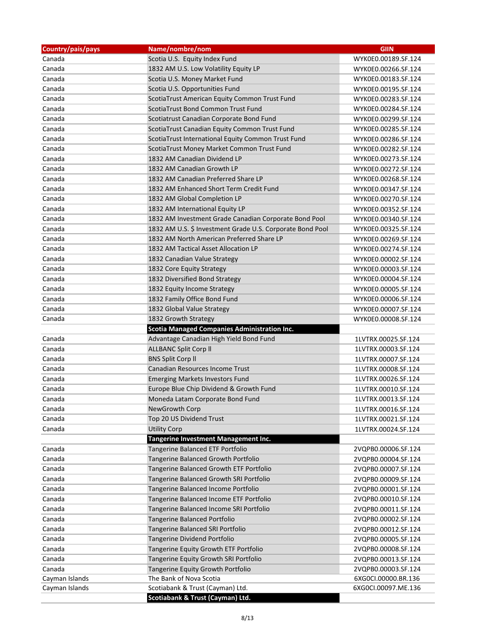| Country/pais/pays | Name/nombre/nom                                           | <b>GIIN</b>         |
|-------------------|-----------------------------------------------------------|---------------------|
| Canada            | Scotia U.S. Equity Index Fund                             | WYK0E0.00189.SF.124 |
| Canada            | 1832 AM U.S. Low Volatility Equity LP                     | WYK0E0.00266.SF.124 |
| Canada            | Scotia U.S. Money Market Fund                             | WYK0E0.00183.SF.124 |
| Canada            | Scotia U.S. Opportunities Fund                            | WYK0E0.00195.SF.124 |
| Canada            | ScotiaTrust American Equity Common Trust Fund             | WYK0E0.00283.SF.124 |
| Canada            | ScotiaTrust Bond Common Trust Fund                        | WYK0E0.00284.SF.124 |
| Canada            | Scotiatrust Canadian Corporate Bond Fund                  | WYK0E0.00299.SF.124 |
| Canada            | ScotiaTrust Canadian Equity Common Trust Fund             | WYK0E0.00285.SF.124 |
| Canada            | ScotiaTrust International Equity Common Trust Fund        | WYK0E0.00286.SF.124 |
| Canada            | ScotiaTrust Money Market Common Trust Fund                | WYK0E0.00282.SF.124 |
| Canada            | 1832 AM Canadian Dividend LP                              | WYK0E0.00273.SF.124 |
| Canada            | 1832 AM Canadian Growth LP                                | WYK0E0.00272.SF.124 |
| Canada            | 1832 AM Canadian Preferred Share LP                       | WYK0E0.00268.SF.124 |
| Canada            | 1832 AM Enhanced Short Term Credit Fund                   | WYK0E0.00347.SF.124 |
| Canada            | 1832 AM Global Completion LP                              | WYK0E0.00270.SF.124 |
| Canada            | 1832 AM International Equity LP                           | WYK0E0.00352.SF.124 |
| Canada            | 1832 AM Investment Grade Canadian Corporate Bond Pool     | WYK0E0.00340.SF.124 |
| Canada            | 1832 AM U.S. \$ Investment Grade U.S. Corporate Bond Pool | WYK0E0.00325.SF.124 |
| Canada            | 1832 AM North American Preferred Share LP                 | WYK0E0.00269.SF.124 |
| Canada            | 1832 AM Tactical Asset Allocation LP                      | WYK0E0.00274.SF.124 |
| Canada            | 1832 Canadian Value Strategy                              | WYK0E0.00002.SF.124 |
| Canada            | 1832 Core Equity Strategy                                 | WYK0E0.00003.SF.124 |
| Canada            | 1832 Diversified Bond Strategy                            | WYK0E0.00004.SF.124 |
| Canada            | 1832 Equity Income Strategy                               | WYK0E0.00005.SF.124 |
| Canada            | 1832 Family Office Bond Fund                              | WYK0E0.00006.SF.124 |
| Canada            | 1832 Global Value Strategy                                | WYK0E0.00007.SF.124 |
| Canada            | 1832 Growth Strategy                                      | WYK0E0.00008.SF.124 |
|                   | <b>Scotia Managed Companies Administration Inc.</b>       |                     |
| Canada            | Advantage Canadian High Yield Bond Fund                   | 1LVTRX.00025.SF.124 |
| Canada            | <b>ALLBANC Split Corp II</b>                              | 1LVTRX.00003.SF.124 |
| Canada            | <b>BNS Split Corp II</b>                                  | 1LVTRX.00007.SF.124 |
| Canada            | Canadian Resources Income Trust                           | 1LVTRX.00008.SF.124 |
| Canada            | <b>Emerging Markets Investors Fund</b>                    | 1LVTRX.00026.SF.124 |
| Canada            | Europe Blue Chip Dividend & Growth Fund                   | 1LVTRX.00010.SF.124 |
| Canada            | Moneda Latam Corporate Bond Fund                          | 1LVTRX.00013.SF.124 |
| Canada            | NewGrowth Corp                                            | 1LVTRX.00016.SF.124 |
| Canada            | Top 20 US Dividend Trust                                  | 1LVTRX.00021.SF.124 |
| Canada            | <b>Utility Corp</b>                                       | 1LVTRX.00024.SF.124 |
|                   | Tangerine Investment Management Inc.                      |                     |
| Canada            | Tangerine Balanced ETF Portfolio                          | 2VQPB0.00006.SF.124 |
| Canada            | Tangerine Balanced Growth Portfolio                       | 2VQPB0.00004.SF.124 |
| Canada            | Tangerine Balanced Growth ETF Portfolio                   | 2VQPB0.00007.SF.124 |
| Canada            | Tangerine Balanced Growth SRI Portfolio                   | 2VQPB0.00009.SF.124 |
| Canada            | Tangerine Balanced Income Portfolio                       | 2VQPB0.00001.SF.124 |
| Canada            | Tangerine Balanced Income ETF Portfolio                   | 2VQPB0.00010.SF.124 |
| Canada            | Tangerine Balanced Income SRI Portfolio                   | 2VQPB0.00011.SF.124 |
| Canada            | Tangerine Balanced Portfolio                              | 2VQPB0.00002.SF.124 |
| Canada            | Tangerine Balanced SRI Portfolio                          | 2VQPB0.00012.SF.124 |
| Canada            | Tangerine Dividend Portfolio                              | 2VQPB0.00005.SF.124 |
| Canada            | Tangerine Equity Growth ETF Portfolio                     | 2VQPB0.00008.SF.124 |
| Canada            | Tangerine Equity Growth SRI Portfolio                     | 2VQPB0.00013.SF.124 |
| Canada            | Tangerine Equity Growth Portfolio                         | 2VQPB0.00003.SF.124 |
| Cayman Islands    | The Bank of Nova Scotia                                   | 6XG0CI.00000.BR.136 |
| Cayman Islands    | Scotiabank & Trust (Cayman) Ltd.                          | 6XG0CI.00097.ME.136 |
|                   | Scotiabank & Trust (Cayman) Ltd.                          |                     |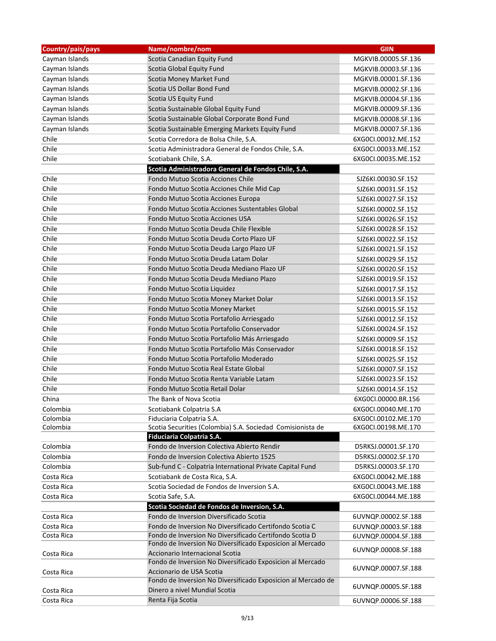| Scotia Canadian Equity Fund<br>Cayman Islands<br>MGKVIB.00005.SF.136<br>Cayman Islands<br>Scotia Global Equity Fund<br>MGKVIB.00003.SF.136<br>Cayman Islands<br>Scotia Money Market Fund<br>MGKVIB.00001.SF.136<br>Cayman Islands<br>Scotia US Dollar Bond Fund<br>MGKVIB.00002.SF.136<br>Cayman Islands<br>Scotia US Equity Fund<br>MGKVIB.00004.SF.136<br>Cayman Islands<br>Scotia Sustainable Global Equity Fund<br>MGKVIB.00009.SF.136<br>Cayman Islands<br>Scotia Sustainable Global Corporate Bond Fund<br>MGKVIB.00008.SF.136<br>Cayman Islands<br>Scotia Sustainable Emerging Markets Equity Fund<br>MGKVIB.00007.SF.136<br>Chile<br>Scotia Corredora de Bolsa Chile, S.A.<br>6XG0CI.00032.ME.152<br>Chile<br>Scotia Administradora General de Fondos Chile, S.A.<br>6XG0CI.00033.ME.152<br>Chile<br>Scotiabank Chile, S.A.<br>6XG0CI.00035.ME.152<br>Scotia Administradora General de Fondos Chile, S.A.<br>Chile<br>Fondo Mutuo Scotia Acciones Chile<br>SJZ6KI.00030.SF.152<br>Chile<br>Fondo Mutuo Scotia Acciones Chile Mid Cap<br>SJZ6KI.00031.SF.152<br>Chile<br>Fondo Mutuo Scotia Acciones Europa<br>SJZ6KI.00027.SF.152<br>Chile<br>Fondo Mutuo Scotia Acciones Sustentables Global<br>SJZ6KI.00002.SF.152<br>Chile<br>Fondo Mutuo Scotia Acciones USA<br>SJZ6KI.00026.SF.152<br>Chile<br>Fondo Mutuo Scotia Deuda Chile Flexible<br>SJZ6KI.00028.SF.152<br>Chile<br>Fondo Mutuo Scotia Deuda Corto Plazo UF<br>SJZ6KI.00022.SF.152<br>Chile<br>Fondo Mutuo Scotia Deuda Largo Plazo UF<br>SJZ6KI.00021.SF.152<br>Chile<br>Fondo Mutuo Scotia Deuda Latam Dolar<br>SJZ6KI.00029.SF.152<br>Chile<br>Fondo Mutuo Scotia Deuda Mediano Plazo UF<br>SJZ6KI.00020.SF.152<br>Chile<br>Fondo Mutuo Scotia Deuda Mediano Plazo<br>SJZ6KI.00019.SF.152<br>Chile<br>Fondo Mutuo Scotia Liquidez<br>SJZ6KI.00017.SF.152<br>Chile<br>Fondo Mutuo Scotia Money Market Dolar<br>SJZ6KI.00013.SF.152<br>Chile<br>Fondo Mutuo Scotia Money Market<br>SJZ6KI.00015.SF.152<br>Chile<br>Fondo Mutuo Scotia Portafolio Arriesgado<br>SJZ6KI.00012.SF.152<br>Chile<br>Fondo Mutuo Scotia Portafolio Conservador<br>SJZ6KI.00024.SF.152<br>Chile<br>Fondo Mutuo Scotia Portafolio Más Arriesgado<br>SJZ6KI.00009.SF.152<br>Chile<br>Fondo Mutuo Scotia Portafolio Más Conservador<br>SJZ6KI.00018.SF.152<br>Chile<br>Fondo Mutuo Scotia Portafolio Moderado<br>SJZ6KI.00025.SF.152<br>Chile<br>Fondo Mutuo Scotia Real Estate Global<br>SJZ6KI.00007.SF.152<br>Chile<br>Fondo Mutuo Scotia Renta Variable Latam<br>SJZ6KI.00023.SF.152<br>Chile<br>Fondo Mutuo Scotia Retail Dolar<br>SJZ6KI.00014.SF.152<br>China<br>6XG0CI.00000.BR.156<br>The Bank of Nova Scotia<br>Colombia<br>Scotiabank Colpatria S.A<br>6XG0CI.00040.ME.170<br>Colombia<br>Fiduciaria Colpatria S.A.<br>6XG0CI.00102.ME.170<br>Colombia<br>Scotia Securities (Colombia) S.A. Sociedad Comisionista de<br>6XG0CI.00198.ME.170<br>Fiduciaria Colpatria S.A. | Country/pais/pays | Name/nombre/nom                             | <b>GIIN</b>         |
|-------------------------------------------------------------------------------------------------------------------------------------------------------------------------------------------------------------------------------------------------------------------------------------------------------------------------------------------------------------------------------------------------------------------------------------------------------------------------------------------------------------------------------------------------------------------------------------------------------------------------------------------------------------------------------------------------------------------------------------------------------------------------------------------------------------------------------------------------------------------------------------------------------------------------------------------------------------------------------------------------------------------------------------------------------------------------------------------------------------------------------------------------------------------------------------------------------------------------------------------------------------------------------------------------------------------------------------------------------------------------------------------------------------------------------------------------------------------------------------------------------------------------------------------------------------------------------------------------------------------------------------------------------------------------------------------------------------------------------------------------------------------------------------------------------------------------------------------------------------------------------------------------------------------------------------------------------------------------------------------------------------------------------------------------------------------------------------------------------------------------------------------------------------------------------------------------------------------------------------------------------------------------------------------------------------------------------------------------------------------------------------------------------------------------------------------------------------------------------------------------------------------------------------------------------------------------------------------------------------------------------------------------------------------------------------------------------------------------------------------------------------------------------------------------------------------------------------------------------------------------------------------------------------------------------|-------------------|---------------------------------------------|---------------------|
|                                                                                                                                                                                                                                                                                                                                                                                                                                                                                                                                                                                                                                                                                                                                                                                                                                                                                                                                                                                                                                                                                                                                                                                                                                                                                                                                                                                                                                                                                                                                                                                                                                                                                                                                                                                                                                                                                                                                                                                                                                                                                                                                                                                                                                                                                                                                                                                                                                                                                                                                                                                                                                                                                                                                                                                                                                                                                                                               |                   |                                             |                     |
|                                                                                                                                                                                                                                                                                                                                                                                                                                                                                                                                                                                                                                                                                                                                                                                                                                                                                                                                                                                                                                                                                                                                                                                                                                                                                                                                                                                                                                                                                                                                                                                                                                                                                                                                                                                                                                                                                                                                                                                                                                                                                                                                                                                                                                                                                                                                                                                                                                                                                                                                                                                                                                                                                                                                                                                                                                                                                                                               |                   |                                             |                     |
|                                                                                                                                                                                                                                                                                                                                                                                                                                                                                                                                                                                                                                                                                                                                                                                                                                                                                                                                                                                                                                                                                                                                                                                                                                                                                                                                                                                                                                                                                                                                                                                                                                                                                                                                                                                                                                                                                                                                                                                                                                                                                                                                                                                                                                                                                                                                                                                                                                                                                                                                                                                                                                                                                                                                                                                                                                                                                                                               |                   |                                             |                     |
|                                                                                                                                                                                                                                                                                                                                                                                                                                                                                                                                                                                                                                                                                                                                                                                                                                                                                                                                                                                                                                                                                                                                                                                                                                                                                                                                                                                                                                                                                                                                                                                                                                                                                                                                                                                                                                                                                                                                                                                                                                                                                                                                                                                                                                                                                                                                                                                                                                                                                                                                                                                                                                                                                                                                                                                                                                                                                                                               |                   |                                             |                     |
|                                                                                                                                                                                                                                                                                                                                                                                                                                                                                                                                                                                                                                                                                                                                                                                                                                                                                                                                                                                                                                                                                                                                                                                                                                                                                                                                                                                                                                                                                                                                                                                                                                                                                                                                                                                                                                                                                                                                                                                                                                                                                                                                                                                                                                                                                                                                                                                                                                                                                                                                                                                                                                                                                                                                                                                                                                                                                                                               |                   |                                             |                     |
|                                                                                                                                                                                                                                                                                                                                                                                                                                                                                                                                                                                                                                                                                                                                                                                                                                                                                                                                                                                                                                                                                                                                                                                                                                                                                                                                                                                                                                                                                                                                                                                                                                                                                                                                                                                                                                                                                                                                                                                                                                                                                                                                                                                                                                                                                                                                                                                                                                                                                                                                                                                                                                                                                                                                                                                                                                                                                                                               |                   |                                             |                     |
|                                                                                                                                                                                                                                                                                                                                                                                                                                                                                                                                                                                                                                                                                                                                                                                                                                                                                                                                                                                                                                                                                                                                                                                                                                                                                                                                                                                                                                                                                                                                                                                                                                                                                                                                                                                                                                                                                                                                                                                                                                                                                                                                                                                                                                                                                                                                                                                                                                                                                                                                                                                                                                                                                                                                                                                                                                                                                                                               |                   |                                             |                     |
|                                                                                                                                                                                                                                                                                                                                                                                                                                                                                                                                                                                                                                                                                                                                                                                                                                                                                                                                                                                                                                                                                                                                                                                                                                                                                                                                                                                                                                                                                                                                                                                                                                                                                                                                                                                                                                                                                                                                                                                                                                                                                                                                                                                                                                                                                                                                                                                                                                                                                                                                                                                                                                                                                                                                                                                                                                                                                                                               |                   |                                             |                     |
|                                                                                                                                                                                                                                                                                                                                                                                                                                                                                                                                                                                                                                                                                                                                                                                                                                                                                                                                                                                                                                                                                                                                                                                                                                                                                                                                                                                                                                                                                                                                                                                                                                                                                                                                                                                                                                                                                                                                                                                                                                                                                                                                                                                                                                                                                                                                                                                                                                                                                                                                                                                                                                                                                                                                                                                                                                                                                                                               |                   |                                             |                     |
|                                                                                                                                                                                                                                                                                                                                                                                                                                                                                                                                                                                                                                                                                                                                                                                                                                                                                                                                                                                                                                                                                                                                                                                                                                                                                                                                                                                                                                                                                                                                                                                                                                                                                                                                                                                                                                                                                                                                                                                                                                                                                                                                                                                                                                                                                                                                                                                                                                                                                                                                                                                                                                                                                                                                                                                                                                                                                                                               |                   |                                             |                     |
|                                                                                                                                                                                                                                                                                                                                                                                                                                                                                                                                                                                                                                                                                                                                                                                                                                                                                                                                                                                                                                                                                                                                                                                                                                                                                                                                                                                                                                                                                                                                                                                                                                                                                                                                                                                                                                                                                                                                                                                                                                                                                                                                                                                                                                                                                                                                                                                                                                                                                                                                                                                                                                                                                                                                                                                                                                                                                                                               |                   |                                             |                     |
|                                                                                                                                                                                                                                                                                                                                                                                                                                                                                                                                                                                                                                                                                                                                                                                                                                                                                                                                                                                                                                                                                                                                                                                                                                                                                                                                                                                                                                                                                                                                                                                                                                                                                                                                                                                                                                                                                                                                                                                                                                                                                                                                                                                                                                                                                                                                                                                                                                                                                                                                                                                                                                                                                                                                                                                                                                                                                                                               |                   |                                             |                     |
|                                                                                                                                                                                                                                                                                                                                                                                                                                                                                                                                                                                                                                                                                                                                                                                                                                                                                                                                                                                                                                                                                                                                                                                                                                                                                                                                                                                                                                                                                                                                                                                                                                                                                                                                                                                                                                                                                                                                                                                                                                                                                                                                                                                                                                                                                                                                                                                                                                                                                                                                                                                                                                                                                                                                                                                                                                                                                                                               |                   |                                             |                     |
|                                                                                                                                                                                                                                                                                                                                                                                                                                                                                                                                                                                                                                                                                                                                                                                                                                                                                                                                                                                                                                                                                                                                                                                                                                                                                                                                                                                                                                                                                                                                                                                                                                                                                                                                                                                                                                                                                                                                                                                                                                                                                                                                                                                                                                                                                                                                                                                                                                                                                                                                                                                                                                                                                                                                                                                                                                                                                                                               |                   |                                             |                     |
|                                                                                                                                                                                                                                                                                                                                                                                                                                                                                                                                                                                                                                                                                                                                                                                                                                                                                                                                                                                                                                                                                                                                                                                                                                                                                                                                                                                                                                                                                                                                                                                                                                                                                                                                                                                                                                                                                                                                                                                                                                                                                                                                                                                                                                                                                                                                                                                                                                                                                                                                                                                                                                                                                                                                                                                                                                                                                                                               |                   |                                             |                     |
|                                                                                                                                                                                                                                                                                                                                                                                                                                                                                                                                                                                                                                                                                                                                                                                                                                                                                                                                                                                                                                                                                                                                                                                                                                                                                                                                                                                                                                                                                                                                                                                                                                                                                                                                                                                                                                                                                                                                                                                                                                                                                                                                                                                                                                                                                                                                                                                                                                                                                                                                                                                                                                                                                                                                                                                                                                                                                                                               |                   |                                             |                     |
|                                                                                                                                                                                                                                                                                                                                                                                                                                                                                                                                                                                                                                                                                                                                                                                                                                                                                                                                                                                                                                                                                                                                                                                                                                                                                                                                                                                                                                                                                                                                                                                                                                                                                                                                                                                                                                                                                                                                                                                                                                                                                                                                                                                                                                                                                                                                                                                                                                                                                                                                                                                                                                                                                                                                                                                                                                                                                                                               |                   |                                             |                     |
|                                                                                                                                                                                                                                                                                                                                                                                                                                                                                                                                                                                                                                                                                                                                                                                                                                                                                                                                                                                                                                                                                                                                                                                                                                                                                                                                                                                                                                                                                                                                                                                                                                                                                                                                                                                                                                                                                                                                                                                                                                                                                                                                                                                                                                                                                                                                                                                                                                                                                                                                                                                                                                                                                                                                                                                                                                                                                                                               |                   |                                             |                     |
|                                                                                                                                                                                                                                                                                                                                                                                                                                                                                                                                                                                                                                                                                                                                                                                                                                                                                                                                                                                                                                                                                                                                                                                                                                                                                                                                                                                                                                                                                                                                                                                                                                                                                                                                                                                                                                                                                                                                                                                                                                                                                                                                                                                                                                                                                                                                                                                                                                                                                                                                                                                                                                                                                                                                                                                                                                                                                                                               |                   |                                             |                     |
|                                                                                                                                                                                                                                                                                                                                                                                                                                                                                                                                                                                                                                                                                                                                                                                                                                                                                                                                                                                                                                                                                                                                                                                                                                                                                                                                                                                                                                                                                                                                                                                                                                                                                                                                                                                                                                                                                                                                                                                                                                                                                                                                                                                                                                                                                                                                                                                                                                                                                                                                                                                                                                                                                                                                                                                                                                                                                                                               |                   |                                             |                     |
|                                                                                                                                                                                                                                                                                                                                                                                                                                                                                                                                                                                                                                                                                                                                                                                                                                                                                                                                                                                                                                                                                                                                                                                                                                                                                                                                                                                                                                                                                                                                                                                                                                                                                                                                                                                                                                                                                                                                                                                                                                                                                                                                                                                                                                                                                                                                                                                                                                                                                                                                                                                                                                                                                                                                                                                                                                                                                                                               |                   |                                             |                     |
|                                                                                                                                                                                                                                                                                                                                                                                                                                                                                                                                                                                                                                                                                                                                                                                                                                                                                                                                                                                                                                                                                                                                                                                                                                                                                                                                                                                                                                                                                                                                                                                                                                                                                                                                                                                                                                                                                                                                                                                                                                                                                                                                                                                                                                                                                                                                                                                                                                                                                                                                                                                                                                                                                                                                                                                                                                                                                                                               |                   |                                             |                     |
|                                                                                                                                                                                                                                                                                                                                                                                                                                                                                                                                                                                                                                                                                                                                                                                                                                                                                                                                                                                                                                                                                                                                                                                                                                                                                                                                                                                                                                                                                                                                                                                                                                                                                                                                                                                                                                                                                                                                                                                                                                                                                                                                                                                                                                                                                                                                                                                                                                                                                                                                                                                                                                                                                                                                                                                                                                                                                                                               |                   |                                             |                     |
|                                                                                                                                                                                                                                                                                                                                                                                                                                                                                                                                                                                                                                                                                                                                                                                                                                                                                                                                                                                                                                                                                                                                                                                                                                                                                                                                                                                                                                                                                                                                                                                                                                                                                                                                                                                                                                                                                                                                                                                                                                                                                                                                                                                                                                                                                                                                                                                                                                                                                                                                                                                                                                                                                                                                                                                                                                                                                                                               |                   |                                             |                     |
|                                                                                                                                                                                                                                                                                                                                                                                                                                                                                                                                                                                                                                                                                                                                                                                                                                                                                                                                                                                                                                                                                                                                                                                                                                                                                                                                                                                                                                                                                                                                                                                                                                                                                                                                                                                                                                                                                                                                                                                                                                                                                                                                                                                                                                                                                                                                                                                                                                                                                                                                                                                                                                                                                                                                                                                                                                                                                                                               |                   |                                             |                     |
|                                                                                                                                                                                                                                                                                                                                                                                                                                                                                                                                                                                                                                                                                                                                                                                                                                                                                                                                                                                                                                                                                                                                                                                                                                                                                                                                                                                                                                                                                                                                                                                                                                                                                                                                                                                                                                                                                                                                                                                                                                                                                                                                                                                                                                                                                                                                                                                                                                                                                                                                                                                                                                                                                                                                                                                                                                                                                                                               |                   |                                             |                     |
|                                                                                                                                                                                                                                                                                                                                                                                                                                                                                                                                                                                                                                                                                                                                                                                                                                                                                                                                                                                                                                                                                                                                                                                                                                                                                                                                                                                                                                                                                                                                                                                                                                                                                                                                                                                                                                                                                                                                                                                                                                                                                                                                                                                                                                                                                                                                                                                                                                                                                                                                                                                                                                                                                                                                                                                                                                                                                                                               |                   |                                             |                     |
|                                                                                                                                                                                                                                                                                                                                                                                                                                                                                                                                                                                                                                                                                                                                                                                                                                                                                                                                                                                                                                                                                                                                                                                                                                                                                                                                                                                                                                                                                                                                                                                                                                                                                                                                                                                                                                                                                                                                                                                                                                                                                                                                                                                                                                                                                                                                                                                                                                                                                                                                                                                                                                                                                                                                                                                                                                                                                                                               |                   |                                             |                     |
|                                                                                                                                                                                                                                                                                                                                                                                                                                                                                                                                                                                                                                                                                                                                                                                                                                                                                                                                                                                                                                                                                                                                                                                                                                                                                                                                                                                                                                                                                                                                                                                                                                                                                                                                                                                                                                                                                                                                                                                                                                                                                                                                                                                                                                                                                                                                                                                                                                                                                                                                                                                                                                                                                                                                                                                                                                                                                                                               |                   |                                             |                     |
|                                                                                                                                                                                                                                                                                                                                                                                                                                                                                                                                                                                                                                                                                                                                                                                                                                                                                                                                                                                                                                                                                                                                                                                                                                                                                                                                                                                                                                                                                                                                                                                                                                                                                                                                                                                                                                                                                                                                                                                                                                                                                                                                                                                                                                                                                                                                                                                                                                                                                                                                                                                                                                                                                                                                                                                                                                                                                                                               |                   |                                             |                     |
|                                                                                                                                                                                                                                                                                                                                                                                                                                                                                                                                                                                                                                                                                                                                                                                                                                                                                                                                                                                                                                                                                                                                                                                                                                                                                                                                                                                                                                                                                                                                                                                                                                                                                                                                                                                                                                                                                                                                                                                                                                                                                                                                                                                                                                                                                                                                                                                                                                                                                                                                                                                                                                                                                                                                                                                                                                                                                                                               |                   |                                             |                     |
|                                                                                                                                                                                                                                                                                                                                                                                                                                                                                                                                                                                                                                                                                                                                                                                                                                                                                                                                                                                                                                                                                                                                                                                                                                                                                                                                                                                                                                                                                                                                                                                                                                                                                                                                                                                                                                                                                                                                                                                                                                                                                                                                                                                                                                                                                                                                                                                                                                                                                                                                                                                                                                                                                                                                                                                                                                                                                                                               |                   |                                             |                     |
|                                                                                                                                                                                                                                                                                                                                                                                                                                                                                                                                                                                                                                                                                                                                                                                                                                                                                                                                                                                                                                                                                                                                                                                                                                                                                                                                                                                                                                                                                                                                                                                                                                                                                                                                                                                                                                                                                                                                                                                                                                                                                                                                                                                                                                                                                                                                                                                                                                                                                                                                                                                                                                                                                                                                                                                                                                                                                                                               |                   |                                             |                     |
|                                                                                                                                                                                                                                                                                                                                                                                                                                                                                                                                                                                                                                                                                                                                                                                                                                                                                                                                                                                                                                                                                                                                                                                                                                                                                                                                                                                                                                                                                                                                                                                                                                                                                                                                                                                                                                                                                                                                                                                                                                                                                                                                                                                                                                                                                                                                                                                                                                                                                                                                                                                                                                                                                                                                                                                                                                                                                                                               |                   |                                             |                     |
|                                                                                                                                                                                                                                                                                                                                                                                                                                                                                                                                                                                                                                                                                                                                                                                                                                                                                                                                                                                                                                                                                                                                                                                                                                                                                                                                                                                                                                                                                                                                                                                                                                                                                                                                                                                                                                                                                                                                                                                                                                                                                                                                                                                                                                                                                                                                                                                                                                                                                                                                                                                                                                                                                                                                                                                                                                                                                                                               |                   |                                             |                     |
|                                                                                                                                                                                                                                                                                                                                                                                                                                                                                                                                                                                                                                                                                                                                                                                                                                                                                                                                                                                                                                                                                                                                                                                                                                                                                                                                                                                                                                                                                                                                                                                                                                                                                                                                                                                                                                                                                                                                                                                                                                                                                                                                                                                                                                                                                                                                                                                                                                                                                                                                                                                                                                                                                                                                                                                                                                                                                                                               |                   |                                             |                     |
|                                                                                                                                                                                                                                                                                                                                                                                                                                                                                                                                                                                                                                                                                                                                                                                                                                                                                                                                                                                                                                                                                                                                                                                                                                                                                                                                                                                                                                                                                                                                                                                                                                                                                                                                                                                                                                                                                                                                                                                                                                                                                                                                                                                                                                                                                                                                                                                                                                                                                                                                                                                                                                                                                                                                                                                                                                                                                                                               |                   |                                             |                     |
|                                                                                                                                                                                                                                                                                                                                                                                                                                                                                                                                                                                                                                                                                                                                                                                                                                                                                                                                                                                                                                                                                                                                                                                                                                                                                                                                                                                                                                                                                                                                                                                                                                                                                                                                                                                                                                                                                                                                                                                                                                                                                                                                                                                                                                                                                                                                                                                                                                                                                                                                                                                                                                                                                                                                                                                                                                                                                                                               |                   |                                             |                     |
|                                                                                                                                                                                                                                                                                                                                                                                                                                                                                                                                                                                                                                                                                                                                                                                                                                                                                                                                                                                                                                                                                                                                                                                                                                                                                                                                                                                                                                                                                                                                                                                                                                                                                                                                                                                                                                                                                                                                                                                                                                                                                                                                                                                                                                                                                                                                                                                                                                                                                                                                                                                                                                                                                                                                                                                                                                                                                                                               |                   |                                             |                     |
|                                                                                                                                                                                                                                                                                                                                                                                                                                                                                                                                                                                                                                                                                                                                                                                                                                                                                                                                                                                                                                                                                                                                                                                                                                                                                                                                                                                                                                                                                                                                                                                                                                                                                                                                                                                                                                                                                                                                                                                                                                                                                                                                                                                                                                                                                                                                                                                                                                                                                                                                                                                                                                                                                                                                                                                                                                                                                                                               | Colombia          | Fondo de Inversion Colectiva Abierto Rendir | D5RKSJ.00001.SF.170 |
| Colombia<br>Fondo de Inversion Colectiva Abierto 1525<br>D5RKSJ.00002.SF.170                                                                                                                                                                                                                                                                                                                                                                                                                                                                                                                                                                                                                                                                                                                                                                                                                                                                                                                                                                                                                                                                                                                                                                                                                                                                                                                                                                                                                                                                                                                                                                                                                                                                                                                                                                                                                                                                                                                                                                                                                                                                                                                                                                                                                                                                                                                                                                                                                                                                                                                                                                                                                                                                                                                                                                                                                                                  |                   |                                             |                     |
| Colombia<br>D5RKSJ.00003.SF.170<br>Sub-fund C - Colpatria International Private Capital Fund                                                                                                                                                                                                                                                                                                                                                                                                                                                                                                                                                                                                                                                                                                                                                                                                                                                                                                                                                                                                                                                                                                                                                                                                                                                                                                                                                                                                                                                                                                                                                                                                                                                                                                                                                                                                                                                                                                                                                                                                                                                                                                                                                                                                                                                                                                                                                                                                                                                                                                                                                                                                                                                                                                                                                                                                                                  |                   |                                             |                     |
| Costa Rica<br>Scotiabank de Costa Rica, S.A.<br>6XG0CI.00042.ME.188                                                                                                                                                                                                                                                                                                                                                                                                                                                                                                                                                                                                                                                                                                                                                                                                                                                                                                                                                                                                                                                                                                                                                                                                                                                                                                                                                                                                                                                                                                                                                                                                                                                                                                                                                                                                                                                                                                                                                                                                                                                                                                                                                                                                                                                                                                                                                                                                                                                                                                                                                                                                                                                                                                                                                                                                                                                           |                   |                                             |                     |
| Scotia Sociedad de Fondos de Inversion S.A.<br>Costa Rica<br>6XG0CI.00043.ME.188                                                                                                                                                                                                                                                                                                                                                                                                                                                                                                                                                                                                                                                                                                                                                                                                                                                                                                                                                                                                                                                                                                                                                                                                                                                                                                                                                                                                                                                                                                                                                                                                                                                                                                                                                                                                                                                                                                                                                                                                                                                                                                                                                                                                                                                                                                                                                                                                                                                                                                                                                                                                                                                                                                                                                                                                                                              |                   |                                             |                     |
| Scotia Safe, S.A.<br>6XG0CI.00044.ME.188<br>Costa Rica                                                                                                                                                                                                                                                                                                                                                                                                                                                                                                                                                                                                                                                                                                                                                                                                                                                                                                                                                                                                                                                                                                                                                                                                                                                                                                                                                                                                                                                                                                                                                                                                                                                                                                                                                                                                                                                                                                                                                                                                                                                                                                                                                                                                                                                                                                                                                                                                                                                                                                                                                                                                                                                                                                                                                                                                                                                                        |                   |                                             |                     |
| Scotia Sociedad de Fondos de Inversion, S.A.                                                                                                                                                                                                                                                                                                                                                                                                                                                                                                                                                                                                                                                                                                                                                                                                                                                                                                                                                                                                                                                                                                                                                                                                                                                                                                                                                                                                                                                                                                                                                                                                                                                                                                                                                                                                                                                                                                                                                                                                                                                                                                                                                                                                                                                                                                                                                                                                                                                                                                                                                                                                                                                                                                                                                                                                                                                                                  |                   |                                             |                     |
| Fondo de Inversion Diversificado Scotia<br>Costa Rica<br>6UVNQP.00002.SF.188                                                                                                                                                                                                                                                                                                                                                                                                                                                                                                                                                                                                                                                                                                                                                                                                                                                                                                                                                                                                                                                                                                                                                                                                                                                                                                                                                                                                                                                                                                                                                                                                                                                                                                                                                                                                                                                                                                                                                                                                                                                                                                                                                                                                                                                                                                                                                                                                                                                                                                                                                                                                                                                                                                                                                                                                                                                  |                   |                                             |                     |
| Fondo de Inversion No Diversificado Certifondo Scotia C<br>Costa Rica<br>6UVNQP.00003.SF.188                                                                                                                                                                                                                                                                                                                                                                                                                                                                                                                                                                                                                                                                                                                                                                                                                                                                                                                                                                                                                                                                                                                                                                                                                                                                                                                                                                                                                                                                                                                                                                                                                                                                                                                                                                                                                                                                                                                                                                                                                                                                                                                                                                                                                                                                                                                                                                                                                                                                                                                                                                                                                                                                                                                                                                                                                                  |                   |                                             |                     |
| Fondo de Inversion No Diversificado Certifondo Scotia D<br>Costa Rica<br>6UVNQP.00004.SF.188                                                                                                                                                                                                                                                                                                                                                                                                                                                                                                                                                                                                                                                                                                                                                                                                                                                                                                                                                                                                                                                                                                                                                                                                                                                                                                                                                                                                                                                                                                                                                                                                                                                                                                                                                                                                                                                                                                                                                                                                                                                                                                                                                                                                                                                                                                                                                                                                                                                                                                                                                                                                                                                                                                                                                                                                                                  |                   |                                             |                     |
| Fondo de Inversion No Diversificado Exposicion al Mercado<br>6UVNQP.00008.SF.188                                                                                                                                                                                                                                                                                                                                                                                                                                                                                                                                                                                                                                                                                                                                                                                                                                                                                                                                                                                                                                                                                                                                                                                                                                                                                                                                                                                                                                                                                                                                                                                                                                                                                                                                                                                                                                                                                                                                                                                                                                                                                                                                                                                                                                                                                                                                                                                                                                                                                                                                                                                                                                                                                                                                                                                                                                              |                   |                                             |                     |
| Accionario Internacional Scotia<br>Costa Rica                                                                                                                                                                                                                                                                                                                                                                                                                                                                                                                                                                                                                                                                                                                                                                                                                                                                                                                                                                                                                                                                                                                                                                                                                                                                                                                                                                                                                                                                                                                                                                                                                                                                                                                                                                                                                                                                                                                                                                                                                                                                                                                                                                                                                                                                                                                                                                                                                                                                                                                                                                                                                                                                                                                                                                                                                                                                                 |                   |                                             |                     |
| Fondo de Inversion No Diversificado Exposicion al Mercado<br>6UVNQP.00007.SF.188<br>Accionario de USA Scotia                                                                                                                                                                                                                                                                                                                                                                                                                                                                                                                                                                                                                                                                                                                                                                                                                                                                                                                                                                                                                                                                                                                                                                                                                                                                                                                                                                                                                                                                                                                                                                                                                                                                                                                                                                                                                                                                                                                                                                                                                                                                                                                                                                                                                                                                                                                                                                                                                                                                                                                                                                                                                                                                                                                                                                                                                  |                   |                                             |                     |
| Costa Rica<br>Fondo de Inversion No Diversificado Exposicion al Mercado de                                                                                                                                                                                                                                                                                                                                                                                                                                                                                                                                                                                                                                                                                                                                                                                                                                                                                                                                                                                                                                                                                                                                                                                                                                                                                                                                                                                                                                                                                                                                                                                                                                                                                                                                                                                                                                                                                                                                                                                                                                                                                                                                                                                                                                                                                                                                                                                                                                                                                                                                                                                                                                                                                                                                                                                                                                                    |                   |                                             |                     |
| 6UVNQP.00005.SF.188<br>Dinero a nivel Mundial Scotia<br>Costa Rica                                                                                                                                                                                                                                                                                                                                                                                                                                                                                                                                                                                                                                                                                                                                                                                                                                                                                                                                                                                                                                                                                                                                                                                                                                                                                                                                                                                                                                                                                                                                                                                                                                                                                                                                                                                                                                                                                                                                                                                                                                                                                                                                                                                                                                                                                                                                                                                                                                                                                                                                                                                                                                                                                                                                                                                                                                                            |                   |                                             |                     |
| Renta Fija Scotia<br>Costa Rica<br>6UVNQP.00006.SF.188                                                                                                                                                                                                                                                                                                                                                                                                                                                                                                                                                                                                                                                                                                                                                                                                                                                                                                                                                                                                                                                                                                                                                                                                                                                                                                                                                                                                                                                                                                                                                                                                                                                                                                                                                                                                                                                                                                                                                                                                                                                                                                                                                                                                                                                                                                                                                                                                                                                                                                                                                                                                                                                                                                                                                                                                                                                                        |                   |                                             |                     |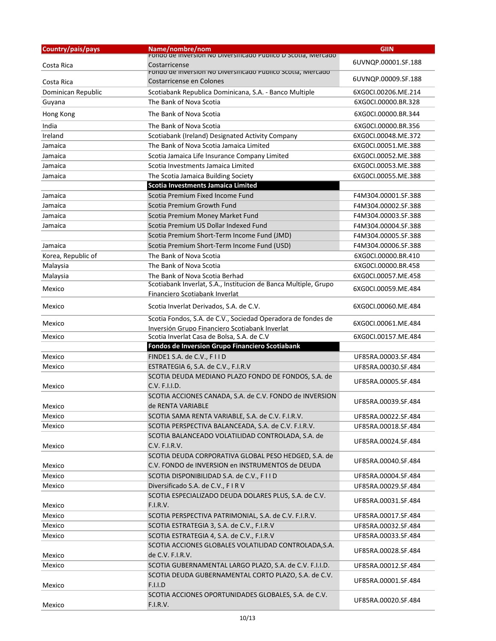| Country/pais/pays  | Name/nombre/nom                                                                                   | <b>GIIN</b>         |
|--------------------|---------------------------------------------------------------------------------------------------|---------------------|
|                    | Fondo de Inversion no Diversificado Publico D Scotla, Mercado                                     | 6UVNQP.00001.SF.188 |
| Costa Rica         | Costarricense<br>FONDO DE INVERSION NO DIVERSITICADO PUDIICO SCOTIA, IVIERCADO                    |                     |
| Costa Rica         | Costarricense en Colones                                                                          | 6UVNQP.00009.SF.188 |
| Dominican Republic | Scotiabank Republica Dominicana, S.A. - Banco Multiple                                            | 6XG0CL00206.ME.214  |
| Guyana             | The Bank of Nova Scotia                                                                           | 6XG0CI.00000.BR.328 |
| Hong Kong          | The Bank of Nova Scotia                                                                           | 6XG0CL00000.BR.344  |
| India              | The Bank of Nova Scotia                                                                           | 6XG0CI.00000.BR.356 |
| Ireland            | Scotiabank (Ireland) Designated Activity Company                                                  | 6XG0CI.00048.ME.372 |
| Jamaica            | The Bank of Nova Scotia Jamaica Limited                                                           | 6XG0CI.00051.ME.388 |
| Jamaica            | Scotia Jamaica Life Insurance Company Limited                                                     | 6XG0CI.00052.ME.388 |
| Jamaica            | Scotia Investments Jamaica Limited                                                                | 6XG0CI.00053.ME.388 |
| Jamaica            | The Scotia Jamaica Building Society                                                               | 6XG0CI.00055.ME.388 |
|                    | Scotia Investments Jamaica Limited                                                                |                     |
| Jamaica            | Scotia Premium Fixed Income Fund                                                                  | F4M304.00001.SF.388 |
| Jamaica            | Scotia Premium Growth Fund                                                                        | F4M304.00002.SF.388 |
| Jamaica            | Scotia Premium Money Market Fund                                                                  | F4M304.00003.SF.388 |
| Jamaica            | Scotia Premium US Dollar Indexed Fund                                                             | F4M304.00004.SF.388 |
|                    | Scotia Premium Short-Term Income Fund (JMD)                                                       | F4M304.00005.SF.388 |
| Jamaica            | Scotia Premium Short-Term Income Fund (USD)                                                       | F4M304.00006.SF.388 |
| Korea, Republic of | The Bank of Nova Scotia                                                                           | 6XG0CI.00000.BR.410 |
| Malaysia           | The Bank of Nova Scotia                                                                           | 6XG0CI.00000.BR.458 |
| Malaysia           | The Bank of Nova Scotia Berhad                                                                    | 6XG0CI.00057.ME.458 |
| Mexico             | Scotiabank Inverlat, S.A., Institucion de Banca Multiple, Grupo<br>Financiero Scotiabank Inverlat | 6XG0CI.00059.ME.484 |
| Mexico             | Scotia Inverlat Derivados, S.A. de C.V.                                                           | 6XG0CI.00060.ME.484 |
|                    | Scotia Fondos, S.A. de C.V., Sociedad Operadora de fondes de                                      |                     |
| Mexico             | Inversión Grupo Financiero Scotiabank Inverlat                                                    | 6XG0CI.00061.ME.484 |
| Mexico             | Scotia Inverlat Casa de Bolsa, S.A. de C.V                                                        | 6XG0CI.00157.ME.484 |
|                    | Fondos de Inversion Grupo Financiero Scotiabank                                                   |                     |
| Mexico             | FINDE1 S.A. de C.V., FIID                                                                         | UF85RA.00003.SF.484 |
| Mexico             | ESTRATEGIA 6, S.A. de C.V., F.I.R.V                                                               | UF85RA.00030.SF.484 |
| Mexico             | SCOTIA DEUDA MEDIANO PLAZO FONDO DE FONDOS, S.A. de<br>C.V. F.I.I.D.                              | UF85RA.00005.SF.484 |
|                    | SCOTIA ACCIONES CANADA, S.A. de C.V. FONDO de INVERSION                                           |                     |
| Mexico             | de RENTA VARIABLE                                                                                 | UF85RA.00039.SF.484 |
| Mexico             | SCOTIA SAMA RENTA VARIABLE, S.A. de C.V. F.I.R.V.                                                 | UF85RA.00022.SF.484 |
| Mexico             | SCOTIA PERSPECTIVA BALANCEADA, S.A. de C.V. F.I.R.V.                                              | UF85RA.00018.SF.484 |
| Mexico             | SCOTIA BALANCEADO VOLATILIDAD CONTROLADA, S.A. de<br>C.V. F.I.R.V.                                | UF85RA.00024.SF.484 |
|                    | SCOTIA DEUDA CORPORATIVA GLOBAL PESO HEDGED, S.A. de                                              |                     |
| Mexico             | C.V. FONDO de INVERSION en INSTRUMENTOS de DEUDA                                                  | UF85RA.00040.SF.484 |
| Mexico             | SCOTIA DISPONIBILIDAD S.A. de C.V., FIID                                                          | UF85RA.00004.SF.484 |
| Mexico             | Diversificado S.A. de C.V., F I R V                                                               | UF85RA.00029.SF.484 |
|                    | SCOTIA ESPECIALIZADO DEUDA DOLARES PLUS, S.A. de C.V.                                             |                     |
| Mexico             | F.I.R.V.                                                                                          | UF85RA.00031.SF.484 |
| Mexico             | SCOTIA PERSPECTIVA PATRIMONIAL, S.A. de C.V. F.I.R.V.                                             | UF85RA.00017.SF.484 |
| Mexico             | SCOTIA ESTRATEGIA 3, S.A. de C.V., F.I.R.V                                                        | UF85RA.00032.SF.484 |
| Mexico             | SCOTIA ESTRATEGIA 4, S.A. de C.V., F.I.R.V                                                        | UF85RA.00033.SF.484 |
| Mexico             | SCOTIA ACCIONES GLOBALES VOLATILIDAD CONTROLADA, S.A.<br>de C.V. F.I.R.V.                         | UF85RA.00028.SF.484 |
| Mexico             | SCOTIA GUBERNAMENTAL LARGO PLAZO, S.A. de C.V. F.I.I.D.                                           | UF85RA.00012.SF.484 |
|                    | SCOTIA DEUDA GUBERNAMENTAL CORTO PLAZO, S.A. de C.V.                                              |                     |
| Mexico             | <b>F.I.I.D</b>                                                                                    | UF85RA.00001.SF.484 |
|                    | SCOTIA ACCIONES OPORTUNIDADES GLOBALES, S.A. de C.V.                                              | UF85RA.00020.SF.484 |
| Mexico             | F.I.R.V.                                                                                          |                     |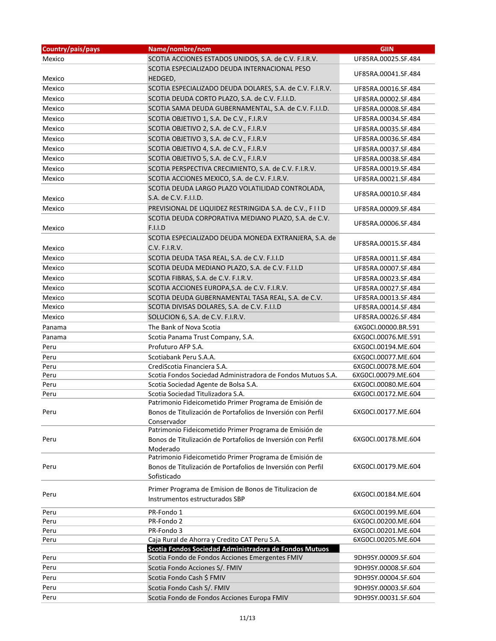| Country/pais/pays | Name/nombre/nom                                                          | <b>GIIN</b>         |
|-------------------|--------------------------------------------------------------------------|---------------------|
| Mexico            | SCOTIA ACCIONES ESTADOS UNIDOS, S.A. de C.V. F.I.R.V.                    | UF85RA.00025.SF.484 |
|                   | SCOTIA ESPECIALIZADO DEUDA INTERNACIONAL PESO                            |                     |
| Mexico            | HEDGED,                                                                  | UF85RA.00041.SF.484 |
| Mexico            | SCOTIA ESPECIALIZADO DEUDA DOLARES, S.A. de C.V. F.I.R.V.                | UF85RA.00016.SF.484 |
| Mexico            | SCOTIA DEUDA CORTO PLAZO, S.A. de C.V. F.I.I.D.                          | UF85RA.00002.SF.484 |
| Mexico            | SCOTIA SAMA DEUDA GUBERNAMENTAL, S.A. de C.V. F.I.I.D.                   | UF85RA.00008.SF.484 |
| Mexico            | SCOTIA OBJETIVO 1, S.A. De C.V., F.I.R.V                                 | UF85RA.00034.SF.484 |
| Mexico            | SCOTIA OBJETIVO 2, S.A. de C.V., F.I.R.V                                 | UF85RA.00035.SF.484 |
| Mexico            | SCOTIA OBJETIVO 3, S.A. de C.V., F.I.R.V                                 | UF85RA.00036.SF.484 |
| Mexico            | SCOTIA OBJETIVO 4, S.A. de C.V., F.I.R.V                                 | UF85RA.00037.SF.484 |
| Mexico            | SCOTIA OBJETIVO 5, S.A. de C.V., F.I.R.V                                 | UF85RA.00038.SF.484 |
| Mexico            | SCOTIA PERSPECTIVA CRECIMIENTO, S.A. de C.V. F.I.R.V.                    | UF85RA.00019.SF.484 |
| Mexico            | SCOTIA ACCIONES MEXICO, S.A. de C.V. F.I.R.V.                            | UF85RA.00021.SF.484 |
|                   | SCOTIA DEUDA LARGO PLAZO VOLATILIDAD CONTROLADA,                         |                     |
| Mexico            | S.A. de C.V. F.I.I.D.                                                    | UF85RA.00010.SF.484 |
| Mexico            | PREVISIONAL DE LIQUIDEZ RESTRINGIDA S.A. de C.V., FIID                   | UF85RA.00009.SF.484 |
|                   | SCOTIA DEUDA CORPORATIVA MEDIANO PLAZO, S.A. de C.V.                     |                     |
| Mexico            | <b>F.I.I.D</b>                                                           | UF85RA.00006.SF.484 |
|                   | SCOTIA ESPECIALIZADO DEUDA MONEDA EXTRANJERA, S.A. de                    |                     |
| Mexico            | C.V. F.I.R.V.                                                            | UF85RA.00015.SF.484 |
| Mexico            | SCOTIA DEUDA TASA REAL, S.A. de C.V. F.I.I.D                             | UF85RA.00011.SF.484 |
| Mexico            | SCOTIA DEUDA MEDIANO PLAZO, S.A. de C.V. F.I.I.D                         | UF85RA.00007.SF.484 |
| Mexico            | SCOTIA FIBRAS, S.A. de C.V. F.I.R.V.                                     | UF85RA.00023.SF.484 |
| Mexico            | SCOTIA ACCIONES EUROPA, S.A. de C.V. F.I.R.V.                            | UF85RA.00027.SF.484 |
| Mexico            | SCOTIA DEUDA GUBERNAMENTAL TASA REAL, S.A. de C.V.                       | UF85RA.00013.SF.484 |
| Mexico            | SCOTIA DIVISAS DOLARES, S.A. de C.V. F.I.I.D                             | UF85RA.00014.SF.484 |
| Mexico            | SOLUCION 6, S.A. de C.V. F.I.R.V.                                        | UF85RA.00026.SF.484 |
| Panama            | The Bank of Nova Scotia                                                  | 6XG0CI.00000.BR.591 |
| Panama            | Scotia Panama Trust Company, S.A.                                        | 6XG0CI.00076.ME.591 |
| Peru              | Profuturo AFP S.A.                                                       | 6XG0CI.00194.ME.604 |
| Peru              | Scotiabank Peru S.A.A.                                                   | 6XG0CI.00077.ME.604 |
| Peru              | CrediScotia Financiera S.A.                                              | 6XG0CI.00078.ME.604 |
| Peru              | Scotia Fondos Sociedad Administradora de Fondos Mutuos S.A.              | 6XG0CI.00079.ME.604 |
| Peru              | Scotia Sociedad Agente de Bolsa S.A.                                     | 6XG0CI.00080.ME.604 |
| Peru              | Scotia Sociedad Titulizadora S.A.                                        | 6XG0CI.00172.ME.604 |
|                   | Patrimonio Fideicometido Primer Programa de Emisión de                   |                     |
| Peru              | Bonos de Titulización de Portafolios de Inversión con Perfil             | 6XG0CI.00177.ME.604 |
|                   | Conservador                                                              |                     |
|                   | Patrimonio Fideicometido Primer Programa de Emisión de                   |                     |
| Peru              | Bonos de Titulización de Portafolios de Inversión con Perfil<br>Moderado | 6XG0CI.00178.ME.604 |
|                   | Patrimonio Fideicometido Primer Programa de Emisión de                   |                     |
| Peru              | Bonos de Titulización de Portafolios de Inversión con Perfil             | 6XG0CI.00179.ME.604 |
|                   | Sofisticado                                                              |                     |
|                   |                                                                          |                     |
| Peru              | Primer Programa de Emision de Bonos de Titulizacion de                   | 6XG0CI.00184.ME.604 |
|                   | Instrumentos estructurados SBP                                           |                     |
| Peru              | PR-Fondo 1                                                               | 6XG0CI.00199.ME.604 |
| Peru              | PR-Fondo 2                                                               | 6XG0CI.00200.ME.604 |
| Peru              | PR-Fondo 3                                                               | 6XG0CI.00201.ME.604 |
| Peru              | Caja Rural de Ahorra y Credito CAT Peru S.A.                             | 6XG0CI.00205.ME.604 |
|                   | Scotia Fondos Sociedad Administradora de Fondos Mutuos                   |                     |
| Peru              | Scotia Fondo de Fondos Acciones Emergentes FMIV                          | 9DH9SY.00009.SF.604 |
| Peru              | Scotia Fondo Acciones S/. FMIV                                           | 9DH9SY.00008.SF.604 |
| Peru              | Scotia Fondo Cash \$ FMIV                                                | 9DH9SY.00004.SF.604 |
| Peru              | Scotia Fondo Cash S/. FMIV                                               | 9DH9SY.00003.SF.604 |
| Peru              | Scotia Fondo de Fondos Acciones Europa FMIV                              | 9DH9SY.00031.SF.604 |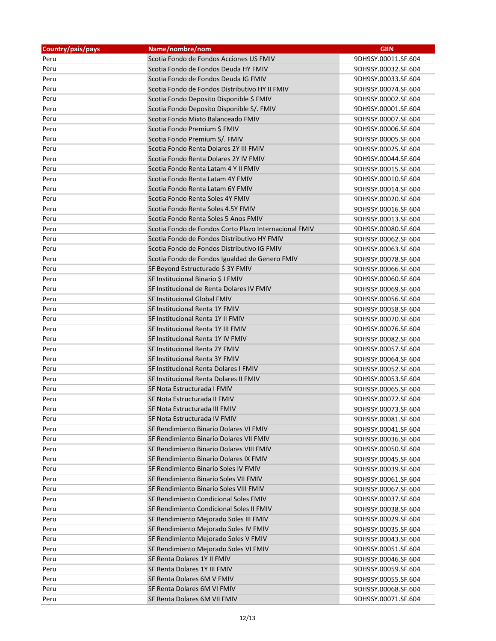| Country/pais/pays | Name/nombre/nom                                       | <b>GIIN</b>         |
|-------------------|-------------------------------------------------------|---------------------|
| Peru              | Scotia Fondo de Fondos Acciones US FMIV               | 9DH9SY.00011.SF.604 |
| Peru              | Scotia Fondo de Fondos Deuda HY FMIV                  | 9DH9SY.00032.SF.604 |
| Peru              | Scotia Fondo de Fondos Deuda IG FMIV                  | 9DH9SY.00033.SF.604 |
| Peru              | Scotia Fondo de Fondos Distributivo HY II FMIV        | 9DH9SY.00074.SF.604 |
| Peru              | Scotia Fondo Deposito Disponible \$ FMIV              | 9DH9SY.00002.SF.604 |
| Peru              | Scotia Fondo Deposito Disponible S/. FMIV             | 9DH9SY.00001.SF.604 |
| Peru              | Scotia Fondo Mixto Balanceado FMIV                    | 9DH9SY.00007.SF.604 |
| Peru              | Scotia Fondo Premium \$ FMIV                          | 9DH9SY.00006.SF.604 |
| Peru              | Scotia Fondo Premium S/. FMIV                         | 9DH9SY.00005.SF.604 |
| Peru              | Scotia Fondo Renta Dolares 2Y III FMIV                | 9DH9SY.00025.SF.604 |
| Peru              | Scotia Fondo Renta Dolares 2Y IV FMIV                 | 9DH9SY.00044.SF.604 |
| Peru              | Scotia Fondo Renta Latam 4 Y II FMIV                  | 9DH9SY.00015.SF.604 |
| Peru              | Scotia Fondo Renta Latam 4Y FMIV                      | 9DH9SY.00010.SF.604 |
| Peru              | Scotia Fondo Renta Latam 6Y FMIV                      | 9DH9SY.00014.SF.604 |
| Peru              | Scotia Fondo Renta Soles 4Y FMIV                      | 9DH9SY.00020.SF.604 |
| Peru              | Scotia Fondo Renta Soles 4.5Y FMIV                    | 9DH9SY.00016.SF.604 |
| Peru              | Scotia Fondo Renta Soles 5 Anos FMIV                  | 9DH9SY.00013.SF.604 |
| Peru              | Scotia Fondo de Fondos Corto Plazo Internacional FMIV | 9DH9SY.00080.SF.604 |
| Peru              | Scotia Fondo de Fondos Distributivo HY FMIV           | 9DH9SY.00062.SF.604 |
| Peru              | Scotia Fondo de Fondos Distributivo IG FMIV           | 9DH9SY.00063.SF.604 |
| Peru              | Scotia Fondo de Fondos Igualdad de Genero FMIV        | 9DH9SY.00078.SF.604 |
| Peru              | SF Beyond Estructurado \$3Y FMIV                      | 9DH9SY.00066.SF.604 |
| Peru              | SF Institucional Binario \$ I FMIV                    | 9DH9SY.00060.SF.604 |
| Peru              | SF Institucional de Renta Dolares IV FMIV             | 9DH9SY.00069.SF.604 |
| Peru              | SF Institucional Global FMIV                          | 9DH9SY.00056.SF.604 |
| Peru              | SF Institucional Renta 1Y FMIV                        | 9DH9SY.00058.SF.604 |
| Peru              | SF Institucional Renta 1Y II FMIV                     | 9DH9SY.00070.SF.604 |
| Peru              | SF Institucional Renta 1Y III FMIV                    | 9DH9SY.00076.SF.604 |
| Peru              | SF Institucional Renta 1Y IV FMIV                     | 9DH9SY.00082.SF.604 |
| Peru              | SF Institucional Renta 2Y FMIV                        | 9DH9SY.00057.SF.604 |
| Peru              | SF Institucional Renta 3Y FMIV                        | 9DH9SY.00064.SF.604 |
| Peru              | SF Institucional Renta Dolares I FMIV                 | 9DH9SY.00052.SF.604 |
| Peru              | SF Institucional Renta Dolares II FMIV                | 9DH9SY.00053.SF.604 |
| Peru              | SF Nota Estructurada I FMIV                           | 9DH9SY.00065.SF.604 |
| Peru              | SF Nota Estructurada II FMIV                          | 9DH9SY.00072.SF.604 |
| Peru              | SF Nota Estructurada III FMIV                         | 9DH9SY.00073.SF.604 |
| Peru              | SF Nota Estructurada IV FMIV                          | 9DH9SY.00081.SF.604 |
| Peru              | SF Rendimiento Binario Dolares VI FMIV                | 9DH9SY.00041.SF.604 |
| Peru              | SF Rendimiento Binario Dolares VII FMIV               | 9DH9SY.00036.SF.604 |
| Peru              | SF Rendimiento Binario Dolares VIII FMIV              | 9DH9SY.00050.SF.604 |
| Peru              | SF Rendimiento Binario Dolares IX FMIV                | 9DH9SY.00045.SF.604 |
| Peru              | SF Rendimiento Binario Soles IV FMIV                  | 9DH9SY.00039.SF.604 |
| Peru              | SF Rendimiento Binario Soles VII FMIV                 | 9DH9SY.00061.SF.604 |
| Peru              | SF Rendimiento Binario Soles VIII FMIV                | 9DH9SY.00067.SF.604 |
| Peru              | SF Rendimiento Condicional Soles FMIV                 | 9DH9SY.00037.SF.604 |
| Peru              | SF Rendimiento Condicional Soles II FMIV              | 9DH9SY.00038.SF.604 |
|                   | SF Rendimiento Mejorado Soles III FMIV                | 9DH9SY.00029.SF.604 |
| Peru<br>Peru      | SF Rendimiento Mejorado Soles IV FMIV                 | 9DH9SY.00035.SF.604 |
|                   | SF Rendimiento Mejorado Soles V FMIV                  |                     |
| Peru              |                                                       | 9DH9SY.00043.SF.604 |
| Peru              | SF Rendimiento Mejorado Soles VI FMIV                 | 9DH9SY.00051.SF.604 |
| Peru              | SF Renta Dolares 1Y II FMIV                           | 9DH9SY.00046.SF.604 |
| Peru              | SF Renta Dolares 1Y III FMIV                          | 9DH9SY.00059.SF.604 |
| Peru              | SF Renta Dolares 6M V FMIV                            | 9DH9SY.00055.SF.604 |
| Peru              | SF Renta Dolares 6M VI FMIV                           | 9DH9SY.00068.SF.604 |
| Peru              | SF Renta Dolares 6M VII FMIV                          | 9DH9SY.00071.SF.604 |